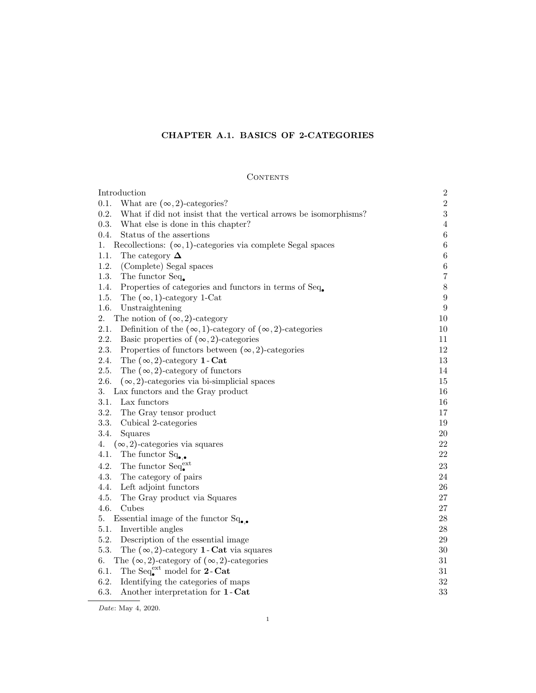# CHAPTER A.1. BASICS OF 2-CATEGORIES

# **CONTENTS**

| Introduction                                                                   | $\sqrt{2}$       |
|--------------------------------------------------------------------------------|------------------|
| 0.1.<br>What are $(\infty, 2)$ -categories?                                    | $\,2$            |
| 0.2.<br>What if did not insist that the vertical arrows be isomorphisms?       | $\sqrt{3}$       |
| 0.3.<br>What else is done in this chapter?                                     | $\,4\,$          |
| 0.4.<br>Status of the assertions                                               | $\,6\,$          |
| Recollections: $(\infty, 1)$ -categories via complete Segal spaces<br>1.       | $\,6\,$          |
| 1.1.<br>The category $\Delta$                                                  | $\,6\,$          |
| 1.2.<br>(Complete) Segal spaces                                                | $\,6\,$          |
| 1.3.<br>The functor Seq.                                                       | $\,7$            |
| Properties of categories and functors in terms of Seq.<br>1.4.                 | $8\,$            |
| 1.5.<br>The $(\infty, 1)$ -category 1-Cat                                      | $\boldsymbol{9}$ |
| 1.6.<br>Unstraightening                                                        | $\boldsymbol{9}$ |
| 2.<br>The notion of $(\infty, 2)$ -category                                    | 10               |
| 2.1.<br>Definition of the $(\infty, 1)$ -category of $(\infty, 2)$ -categories | 10               |
| 2.2.<br>Basic properties of $(\infty, 2)$ -categories                          | 11               |
| 2.3.<br>Properties of functors between $(\infty, 2)$ -categories               | 12               |
| The $(\infty, 2)$ -category 1 - Cat<br>2.4.                                    | $13\,$           |
| 2.5.<br>The $(\infty, 2)$ -category of functors                                | 14               |
| 2.6.<br>$(\infty, 2)$ -categories via bi-simplicial spaces                     | 15               |
| 3. Lax functors and the Gray product                                           | 16               |
| 3.1.<br>Lax functors                                                           | 16               |
| 3.2.<br>The Gray tensor product                                                | 17               |
| 3.3.<br>Cubical 2-categories                                                   | 19               |
| 3.4.<br>Squares                                                                | $20\,$           |
| 4.<br>$(\infty, 2)$ -categories via squares                                    | 22               |
| The functor $Sq_{\bullet,\bullet}$<br>4.1.                                     | $22\,$           |
| The functor $Seq_{\bullet}^{\text{ext}}$<br>4.2.                               | 23               |
| 4.3.<br>The category of pairs                                                  | $24\,$           |
| Left adjoint functors<br>4.4.                                                  | $26\,$           |
| 4.5.<br>The Gray product via Squares                                           | 27               |
| 4.6.<br>Cubes                                                                  | 27               |
| Essential image of the functor $Sq_{\bullet,\bullet}$<br>5.                    | $28\,$           |
| 5.1.<br>Invertible angles                                                      | 28               |
| 5.2.<br>Description of the essential image                                     | 29               |
| 5.3.<br>The $(\infty, 2)$ -category <b>1</b> - Cat via squares                 | $30\,$           |
| The $(\infty, 2)$ -category of $(\infty, 2)$ -categories<br>6.                 | $31\,$           |
| The Seq <sup>ext</sup> model for 2-Cat<br>6.1.                                 | $31\,$           |
| 6.2.<br>Identifying the categories of maps                                     | 32               |
| 6.3.<br>Another interpretation for 1 - Cat                                     | 33               |

Date: May 4, 2020.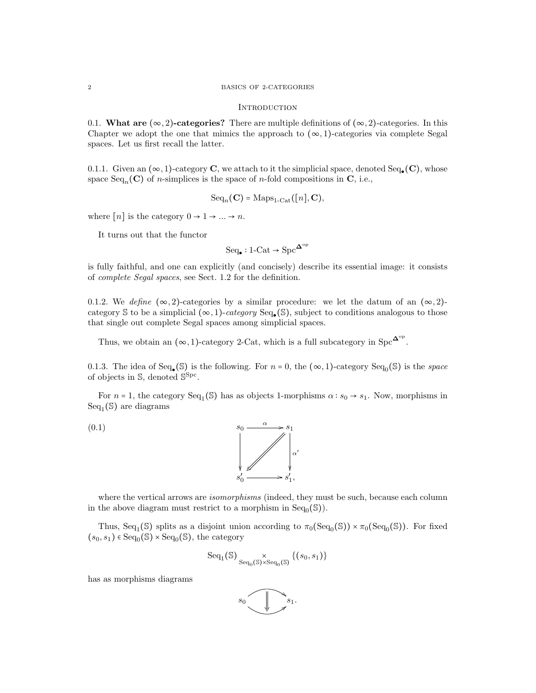#### 2 BASICS OF 2-CATEGORIES

#### **INTRODUCTION**

0.1. What are  $(\infty, 2)$ -categories? There are multiple definitions of  $(\infty, 2)$ -categories. In this Chapter we adopt the one that mimics the approach to  $(\infty, 1)$ -categories via complete Segal spaces. Let us first recall the latter.

0.1.1. Given an  $(\infty, 1)$ -category **C**, we attach to it the simplicial space, denoted Seq. (**C**), whose space  $Seq_n(\mathbf{C})$  of *n*-simplices is the space of *n*-fold compositions in **C**, i.e.,

$$
Seq_n(\mathbf{C}) = Maps_{1-Cat}([n], \mathbf{C}),
$$

where  $[n]$  is the category  $0 \rightarrow 1 \rightarrow ... \rightarrow n$ .

It turns out that the functor

$$
\mathrm{Seq}_\bullet : 1\text{-}\mathrm{Cat} \to \mathrm{Spc}^{\mathbf{\Delta}^\mathrm{op}}
$$

is fully faithful, and one can explicitly (and concisely) describe its essential image: it consists of complete Segal spaces, see Sect. 1.2 for the definition.

0.1.2. We define  $(\infty, 2)$ -categories by a similar procedure: we let the datum of an  $(\infty, 2)$ category S to be a simplicial  $(\infty, 1)$ -category Seq. (S), subject to conditions analogous to those that single out complete Segal spaces among simplicial spaces.

Thus, we obtain an  $(\infty, 1)$ -category 2-Cat, which is a full subcategory in Spc<sup> $\Delta^{\circ p}$ </sup>.

0.1.3. The idea of Seq.  $(S)$  is the following. For  $n = 0$ , the  $(\infty, 1)$ -category Seq<sub>0</sub> $(S)$  is the *space* of objects in S, denoted  $S<sup>Spc</sup>$ .

For  $n = 1$ , the category  $Seq_1(\mathcal{S})$  has as objects 1-morphisms  $\alpha : s_0 \to s_1$ . Now, morphisms in  $Seq_1(S)$  are diagrams



where the vertical arrows are *isomorphisms* (indeed, they must be such, because each column in the above diagram must restrict to a morphism in  $Seq_0(\mathbb{S})$ .

Thus, Seq<sub>1</sub>(S) splits as a disjoint union according to  $\pi_0(\text{Seq}_0(\mathbb{S})) \times \pi_0(\text{Seq}_0(\mathbb{S}))$ . For fixed  $(s_0, s_1) \in \text{Seq}_0(\mathbb{S}) \times \text{Seq}_0(\mathbb{S})$ , the category

$$
\mathrm{Seq}_1(\mathbb{S})\underset{\mathrm{Seq}_0(\mathbb{S})\times\mathrm{Seq}_0(\mathbb{S})}{\times}\{(s_0,s_1)\}
$$

has as morphisms diagrams

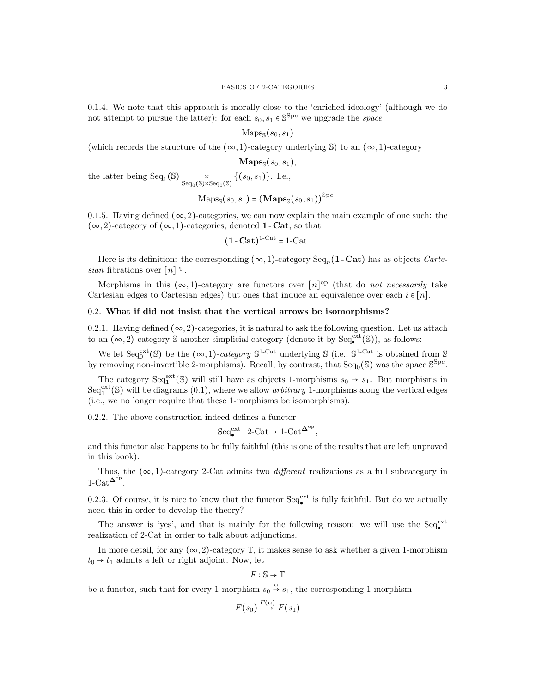0.1.4. We note that this approach is morally close to the 'enriched ideology' (although we do not attempt to pursue the latter): for each  $s_0, s_1 \in \mathbb{S}^{\text{Spc}}$  we upgrade the *space* 

$$
\mathrm{Maps}_{\mathbb{S}}(s_0,s_1)
$$

(which records the structure of the  $(\infty, 1)$ -category underlying S) to an  $(\infty, 1)$ -category

 $\mathbf{Maps}_{\mathbb{S}}(s_0,s_1),$ 

the latter being Seq<sub>1</sub>(S)  $\underset{\text{Seq}_0(\mathbb{S}) \times \text{Seq}_0(\mathbb{S})}{\times} \{(s_0, s_1)\}\.$  I.e.,

$$
\mathrm{Maps}_{\mathbb{S}}(s_0, s_1) = (\mathbf{Maps}_{\mathbb{S}}(s_0, s_1))^{\mathrm{Spc}}.
$$

0.1.5. Having defined  $(\infty, 2)$ -categories, we can now explain the main example of one such: the  $(\infty, 2)$ -category of  $(\infty, 1)$ -categories, denoted **1** - **Cat**, so that

$$
(\mathbf{1}\cdot\mathbf{Cat})^{1\text{-Cat}} = 1\text{-Cat}.
$$

Here is its definition: the corresponding  $(\infty, 1)$ -category Seq<sub>n</sub>(1-Cat) has as objects *Carte*sian fibrations over  $[n]^{\text{op}}$ .

Morphisms in this  $(\infty, 1)$ -category are functors over  $[n]^{op}$  (that do *not necessarily* take Cartesian edges to Cartesian edges) but ones that induce an equivalence over each  $i \in [n]$ .

### 0.2. What if did not insist that the vertical arrows be isomorphisms?

0.2.1. Having defined  $(\infty, 2)$ -categories, it is natural to ask the following question. Let us attach to an  $(\infty, 2)$ -category  $\mathcal S$  another simplicial category (denote it by  $\text{Seq}_{\bullet}^{\text{ext}}(\mathcal S)$ ), as follows:

We let  $Seq_0^{\text{ext}}(\mathbb{S})$  be the  $(\infty, 1)$ -category  $\mathbb{S}^{1-\text{Cat}}$  underlying  $\mathbb{S}$  (i.e.,  $\mathbb{S}^{1-\text{Cat}}$  is obtained from  $\mathbb{S}$ by removing non-invertible 2-morphisms). Recall, by contrast, that  $\text{Seq}_0(\mathbb{S})$  was the space  $\mathbb{S}^{\text{Spc}}$ .

The category  $Seq_1^{\text{ext}}(\mathcal{S})$  will still have as objects 1-morphisms  $s_0 \rightarrow s_1$ . But morphisms in  $Seq_1^{\text{ext}}(\mathbb{S})$  will be diagrams  $(0.1)$ , where we allow *arbitrary* 1-morphisms along the vertical edges (i.e., we no longer require that these 1-morphisms be isomorphisms).

0.2.2. The above construction indeed defines a functor

$$
\mathrm{Seq}_{\bullet}^{\mathrm{ext}}: 2\text{-}\mathrm{Cat} \to 1\text{-}\mathrm{Cat}^{\mathbf{\Delta}^{\mathrm{op}}},
$$

and this functor also happens to be fully faithful (this is one of the results that are left unproved in this book).

Thus, the  $(\infty, 1)$ -category 2-Cat admits two *different* realizations as a full subcategory in  $1-\text{Cat}^{\mathbf{\Delta}^{\text{op}}}.$ 

0.2.3. Of course, it is nice to know that the functor  $\text{Seq}_{\bullet}^{\text{ext}}$  is fully faithful. But do we actually need this in order to develop the theory?

The answer is 'yes', and that is mainly for the following reason: we will use the  $Seq_{\bullet}^{\text{ext}}$ realization of 2-Cat in order to talk about adjunctions.

In more detail, for any  $(\infty, 2)$ -category  $\mathbb{T}$ , it makes sense to ask whether a given 1-morphism  $t_0 \rightarrow t_1$  admits a left or right adjoint. Now, let

$$
F:\mathbb{S}\to\mathbb{T}
$$

be a functor, such that for every 1-morphism  $s_0 \stackrel{\alpha}{\rightarrow} s_1$ , the corresponding 1-morphism

$$
F(s_0) \stackrel{F(\alpha)}{\longrightarrow} F(s_1)
$$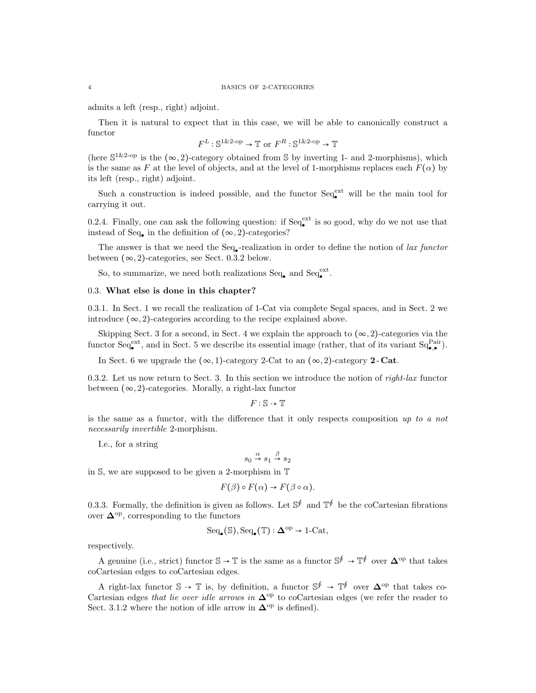#### 4 BASICS OF 2-CATEGORIES

admits a left (resp., right) adjoint.

Then it is natural to expect that in this case, we will be able to canonically construct a functor

$$
F^L : \mathbb{S}^{1\&2\text{-op}} \to \mathbb{T}
$$
 or  $F^R : \mathbb{S}^{1\&2\text{-op}} \to \mathbb{T}$ 

(here  $\mathbb{S}^{1\&2\text{-op}}$  is the  $(\infty,2)$ -category obtained from S by inverting 1- and 2-morphisms), which is the same as F at the level of objects, and at the level of 1-morphisms replaces each  $F(\alpha)$  by its left (resp., right) adjoint.

Such a construction is indeed possible, and the functor  $Seq_{\bullet}^{\text{ext}}$  will be the main tool for carrying it out.

0.2.4. Finally, one can ask the following question: if  $Seq_{\bullet}^{\text{ext}}$  is so good, why do we not use that instead of Seq. in the definition of  $(\infty, 2)$ -categories?

The answer is that we need the  $Seq_{\bullet}$ -realization in order to define the notion of *lax functor* between  $(\infty, 2)$ -categories, see Sect. 0.3.2 below.

So, to summarize, we need both realizations  $Seq_{\bullet}$  and  $Seq_{\bullet}^{ext}$ .

## 0.3. What else is done in this chapter?

0.3.1. In Sect. 1 we recall the realization of 1-Cat via complete Segal spaces, and in Sect. 2 we introduce  $(\infty, 2)$ -categories according to the recipe explained above.

Skipping Sect. 3 for a second, in Sect. 4 we explain the approach to  $(\infty, 2)$ -categories via the functor  $\text{Seq}_{\bullet}^{\text{ext}}$ , and in Sect. 5 we describe its essential image (rather, that of its variant  $\text{Sq}_{\bullet,\bullet}^{\text{Pair}}$ ).

In Sect. 6 we upgrade the  $(\infty, 1)$ -category 2-Cat to an  $(\infty, 2)$ -category 2-Cat.

0.3.2. Let us now return to Sect. 3. In this section we introduce the notion of *right-lax* functor between  $(\infty, 2)$ -categories. Morally, a right-lax functor

 $F : \mathbb{S} \rightarrow \mathbb{T}$ 

is the same as a functor, with the difference that it only respects composition  $up to a not$ necessarily invertible 2-morphism.

I.e., for a string

$$
s_0 \stackrel{\alpha}{\rightarrow} s_1 \stackrel{\beta}{\rightarrow} s_2
$$

in S, we are supposed to be given a 2-morphism in T

$$
F(\beta) \circ F(\alpha) \to F(\beta \circ \alpha).
$$

0.3.3. Formally, the definition is given as follows. Let  $\mathbb{S}^{\oint}$  and  $\mathbb{T}^{\oint}$  be the coCartesian fibrations over  $\Delta^{\rm op}$ , corresponding to the functors

$$
\mathrm{Seq}_\bullet(\mathbb{S}),\mathrm{Seq}_\bullet(\mathbb{T}) : \mathbf{\Delta}^\mathrm{op} \to \mathrm{1}\text{-}\mathrm{Cat},
$$

respectively.

A genuine (i.e., strict) functor  $\mathbb{S} \to \mathbb{T}$  is the same as a functor  $\mathbb{S}^{\oint} \to \mathbb{T}^{\oint}$  over  $\mathbf{\Delta}^{\text{op}}$  that takes coCartesian edges to coCartesian edges.

A right-lax functor  $\mathbb{S} \to \mathbb{T}$  is, by definition, a functor  $\mathbb{S}^{\oint} \to \mathbb{T}^{\oint}$  over  $\mathbf{\Delta}^{\text{op}}$  that takes co-Cartesian edges that lie over idle arrows in  $\Delta^{op}$  to coCartesian edges (we refer the reader to Sect. 3.1.2 where the notion of idle arrow in  $\Delta^{\rm op}$  is defined).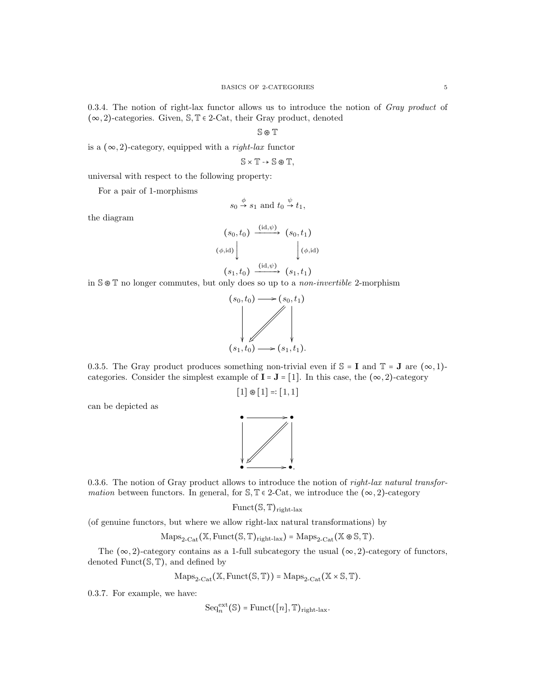0.3.4. The notion of right-lax functor allows us to introduce the notion of Gray product of  $(\infty, 2)$ -categories. Given,  $\mathbb{S}, \mathbb{T} \in 2$ -Cat, their Gray product, denoted

S ⊛ T

is a  $(\infty, 2)$ -category, equipped with a *right-lax* functor

$$
\mathbb{S}\times\mathbb{T}\to\mathbb{S}\otimes\mathbb{T},
$$

universal with respect to the following property:

For a pair of 1-morphisms

$$
s_0 \stackrel{\phi}{\rightarrow} s_1
$$
 and  $t_0 \stackrel{\psi}{\rightarrow} t_1$ ,

the diagram

$$
(s_0, t_0) \xrightarrow{\text{(id, }\psi)} (s_0, t_1)
$$
  

$$
(\phi, \text{id}) \downarrow \qquad \qquad (\phi, \text{id})
$$
  

$$
(s_1, t_0) \xrightarrow{\text{(id, }\psi)} (s_1, t_1)
$$

in S ⊛ T no longer commutes, but only does so up to a non-invertible 2-morphism



0.3.5. The Gray product produces something non-trivial even if  $\mathbb{S} = I$  and  $\mathbb{T} = J$  are  $(\infty, 1)$ categories. Consider the simplest example of  $\mathbf{I} = \mathbf{J} = [1]$ . In this case, the  $(\infty, 2)$ -category

 $[1] \otimes [1] =:[1,1]$ 

can be depicted as



0.3.6. The notion of Gray product allows to introduce the notion of *right-lax natural transfor*mation between functors. In general, for  $\mathcal{S}, \mathbb{T} \in 2\text{-Cat}$ , we introduce the  $(\infty, 2)$ -category

 $Funct(S, \mathbb{T})_{right\}$ lax

(of genuine functors, but where we allow right-lax natural transformations) by

$$
\mathrm{Maps}_{2\text{-}\mathrm{Cat}}\big(\mathbb{X}, \mathrm{Funct}(\mathbb{S}, \mathbb{T})_{\mathrm{right\text{-}lax}}\big)=\mathrm{Maps}_{2\text{-}\mathrm{Cat}}\big(\mathbb{X} \circledast \mathbb{S}, \mathbb{T}\big).
$$

The  $(\infty, 2)$ -category contains as a 1-full subcategory the usual  $(\infty, 2)$ -category of functors, denoted Funct $(\mathbb{S}, \mathbb{T})$ , and defined by

$$
\mathrm{Maps}_{2\text{-}\mathrm{Cat}}(\mathbb{X}, \mathrm{Funct}(\mathbb{S}, \mathbb{T})) = \mathrm{Maps}_{2\text{-}\mathrm{Cat}}(\mathbb{X} \times \mathbb{S}, \mathbb{T}).
$$

0.3.7. For example, we have:

$$
\mathrm{Seq}_n^{\mathrm{ext}}(\mathbb{S}) = \mathrm{Funct}([n], \mathbb{T})_{\mathrm{right-lax}}.
$$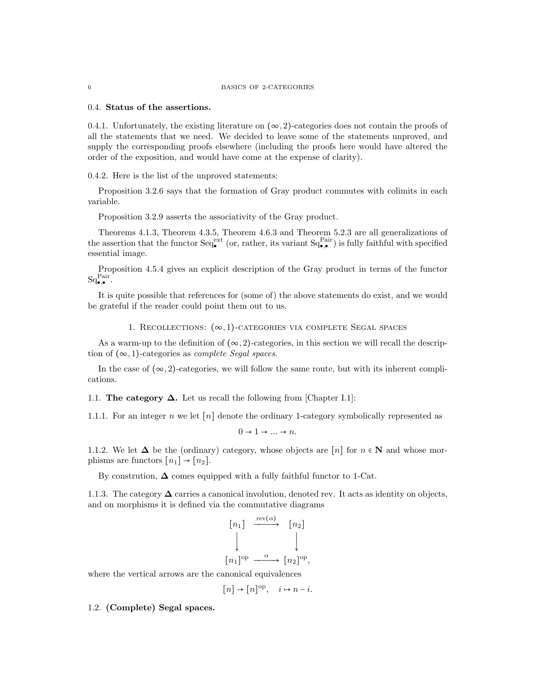### 0.4. Status of the assertions.

0.4.1. Unfortunately, the existing literature on  $(\infty, 2)$ -categories does not contain the proofs of all the statements that we need. We decided to leave some of the statements unproved, and supply the corresponding proofs elsewhere (including the proofs here would have altered the order of the exposition, and would have come at the expense of clarity).

0.4.2. Here is the list of the unproved statements:

Proposition 3.2.6 says that the formation of Gray product commutes with colimits in each variable.

Proposition 3.2.9 asserts the associativity of the Gray product.

Theorems 4.1.3, Theorem 4.3.5, Theorem 4.6.3 and Theorem 5.2.3 are all generalizations of the assertion that the functor  $\text{Seq}_{\bullet}^{\text{ext}}$  (or, rather, its variant  $\text{Sq}_{\bullet,\bullet}^{\text{Pair}}$ ) is fully faithful with specified essential image.

Proposition 4.5.4 gives an explicit description of the Gray product in terms of the functor  $\mathrm{Sq}_{\bullet,\bullet}^{\mathrm{Pair}}.$ 

It is quite possible that references for (some of) the above statements do exist, and we would be grateful if the reader could point them out to us.

### 1. RECOLLECTIONS:  $(\infty, 1)$ -CATEGORIES VIA COMPLETE SEGAL SPACES

As a warm-up to the definition of  $(\infty, 2)$ -categories, in this section we will recall the description of  $(\infty, 1)$ -categories as *complete Segal spaces*.

In the case of  $(\infty, 2)$ -categories, we will follow the same route, but with its inherent complications.

1.1. The category  $\Delta$ . Let us recall the following from [Chapter I.1]:

1.1.1. For an integer n we let  $[n]$  denote the ordinary 1-category symbolically represented as

 $0 \rightarrow 1 \rightarrow \dots \rightarrow n$ .

1.1.2. We let  $\Delta$  be the (ordinary) category, whose objects are [n] for  $n \in \mathbb{N}$  and whose morphisms are functors  $[n_1] \rightarrow [n_2]$ .

By constrution,  $\Delta$  comes equipped with a fully faithful functor to 1-Cat.

1.1.3. The category  $\Delta$  carries a canonical involution, denoted rev. It acts as identity on objects, and on morphisms it is defined via the commutative diagrams

$$
\begin{bmatrix} n_1 \end{bmatrix} \xrightarrow{\text{rev}(\alpha)} \begin{bmatrix} n_2 \end{bmatrix}
$$

$$
\begin{bmatrix} n_1 \end{bmatrix}^{\text{op}} \xrightarrow{\alpha} \begin{bmatrix} n_2 \end{bmatrix}^{\text{op}},
$$

where the vertical arrows are the canonical equivalences

$$
[n] \to [n]^{\text{op}}, \quad i \mapsto n-i.
$$

1.2. (Complete) Segal spaces.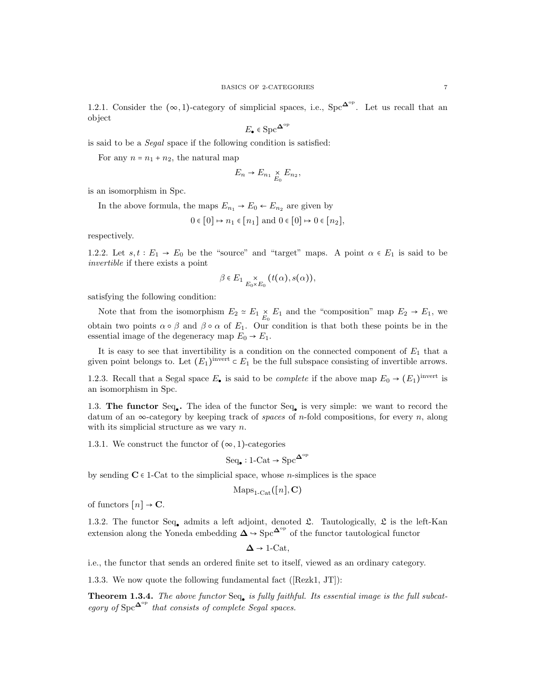1.2.1. Consider the  $(\infty, 1)$ -category of simplicial spaces, i.e., Spc<sup> $\Delta^{\circ p}$ </sup>. Let us recall that an object

$$
E_\bullet \in \mathrm{Spc}^{\mathbf{\Delta}^{\mathrm{op}}}
$$

is said to be a Segal space if the following condition is satisfied:

For any  $n = n_1 + n_2$ , the natural map

$$
E_n \to E_{n_1} \underset{E_0}{\times} E_{n_2},
$$

is an isomorphism in Spc.

In the above formula, the maps  $E_{n_1} \rightarrow E_0 \leftarrow E_{n_2}$  are given by

$$
0 \in [0] \mapsto n_1 \in [n_1] \text{ and } 0 \in [0] \mapsto 0 \in [n_2],
$$

respectively.

1.2.2. Let  $s, t : E_1 \rightarrow E_0$  be the "source" and "target" maps. A point  $\alpha \in E_1$  is said to be invertible if there exists a point

$$
\beta \in E_1 \underset{E_0 \times E_0}{\times} (t(\alpha), s(\alpha)),
$$

satisfying the following condition:

Note that from the isomorphism  $E_2 \simeq E_1 \times E_1$  and the "composition" map  $E_2 \to E_1$ , we obtain two points  $\alpha \circ \beta$  and  $\beta \circ \alpha$  of  $E_1$ . Our condition is that both these points be in the essential image of the degeneracy map  $E_0 \rightarrow E_1$ .

It is easy to see that invertibility is a condition on the connected component of  $E_1$  that a given point belongs to. Let  $(E_1)$ <sup>invert</sup>  $\subset E_1$  be the full subspace consisting of invertible arrows.

1.2.3. Recall that a Segal space  $E_{\bullet}$  is said to be *complete* if the above map  $E_0 \rightarrow (E_1)^{\text{invert}}$  is an isomorphism in Spc.

1.3. The functor Seq. The idea of the functor Seq. is very simple: we want to record the datum of an  $\infty$ -category by keeping track of spaces of n-fold compositions, for every n, along with its simplicial structure as we vary  $n$ .

1.3.1. We construct the functor of  $(\infty, 1)$ -categories

$$
\text{Seq}_{\bullet}: 1\text{-}\mathrm{Cat} \to \text{Spc}^{\mathbf{\Delta}^{\mathrm{op}}}
$$

by sending  $C \in 1$ -Cat to the simplicial space, whose *n*-simplices is the space

$$
Maps_{1\text{-}\mathrm{Cat}}([n], \mathbf{C})
$$

of functors  $[n] \rightarrow \mathbf{C}$ .

1.3.2. The functor Seq. admits a left adjoint, denoted  $\mathfrak{L}$ . Tautologically,  $\mathfrak{L}$  is the left-Kan extension along the Yoneda embedding  $\Delta \to \text{Spc}^{\Delta^{\text{op}}}$  of the functor tautological functor

 $\Delta \rightarrow 1$ -Cat,

i.e., the functor that sends an ordered finite set to itself, viewed as an ordinary category.

1.3.3. We now quote the following fundamental fact ([Rezk1, JT]):

**Theorem 1.3.4.** The above functor  $Seq_{\bullet}$  is fully faithful. Its essential image is the full subcategory of  $Spec^{\Delta^{op}}$  that consists of complete Segal spaces.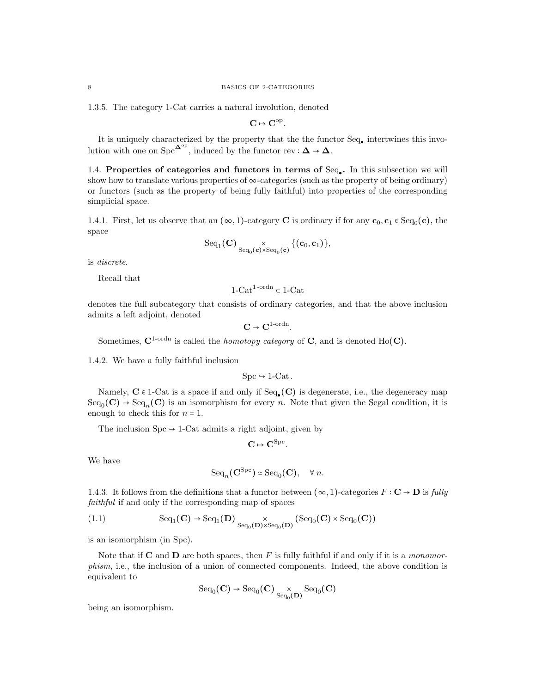1.3.5. The category 1-Cat carries a natural involution, denoted

 $C \mapsto C^{\rm op}.$ 

It is uniquely characterized by the property that the the functor Seq. intertwines this involution with one on  $\text{Spc}^{\mathbf{\Delta}^{\text{op}}}$ , induced by the functor rev :  $\mathbf{\Delta} \to \mathbf{\Delta}$ .

1.4. Properties of categories and functors in terms of Seq. In this subsection we will show how to translate various properties of  $\infty$ -categories (such as the property of being ordinary) or functors (such as the property of being fully faithful) into properties of the corresponding simplicial space.

1.4.1. First, let us observe that an  $(\infty, 1)$ -category **C** is ordinary if for any  $\mathbf{c}_0, \mathbf{c}_1 \in \text{Seq}_0(\mathbf{c})$ , the space

$$
\mathrm{Seq}_1(\mathbf{C})\underset{\mathrm{Seq}_0(\mathbf{c})\times\mathrm{Seq}_0(\mathbf{c})}{\times}\{(\mathbf{c}_0,\mathbf{c}_1)\},
$$

is discrete.

Recall that

1-Cat<sup>1-ordn</sup>  $\subset$  1-Cat

denotes the full subcategory that consists of ordinary categories, and that the above inclusion admits a left adjoint, denoted

 $\mathbf{C} \mapsto \mathbf{C}^{1\text{-ordn}}.$ 

Sometimes,  $C^{1-{\rm ord}n}$  is called the *homotopy category* of C, and is denoted Ho(C).

1.4.2. We have a fully faithful inclusion

$$
Spc \hookrightarrow 1-Cat.
$$

Namely,  $C \in 1$ -Cat is a space if and only if  $Seq_{\bullet}(C)$  is degenerate, i.e., the degeneracy map  $Seq_0(\mathbf{C}) \to Seq_n(\mathbf{C})$  is an isomorphism for every n. Note that given the Segal condition, it is enough to check this for  $n = 1$ .

The inclusion  $\text{Spc} \rightarrow 1\text{-Cat}$  admits a right adjoint, given by

$$
\mathbf{C}\mapsto \mathbf{C}^{\mathrm{Spc}}.
$$

We have

$$
\mathrm{Seq}_n(\mathbf{C}^{\mathrm{Spc}}) \simeq \mathrm{Seq}_0(\mathbf{C}), \quad \forall n.
$$

1.4.3. It follows from the definitions that a functor between  $(\infty, 1)$ -categories  $F : \mathbf{C} \to \mathbf{D}$  is fully faithful if and only if the corresponding map of spaces

(1.1) 
$$
\text{Seq}_1(\mathbf{C}) \to \text{Seq}_1(\mathbf{D}) \underset{\text{Seq}_0(\mathbf{D}) \times \text{Seq}_0(\mathbf{D})}{\times} (\text{Seq}_0(\mathbf{C}) \times \text{Seq}_0(\mathbf{C}))
$$

is an isomorphism (in Spc).

Note that if  $C$  and  $D$  are both spaces, then F is fully faithful if and only if it is a monomorphism, i.e., the inclusion of a union of connected components. Indeed, the above condition is equivalent to

$$
{\rm Seq}_0(\mathbf C) \to {\rm Seq}_0(\mathbf C) \underset{{\rm Seq}_0(\mathbf D)}{\times} {\rm Seq}_0(\mathbf C)
$$

being an isomorphism.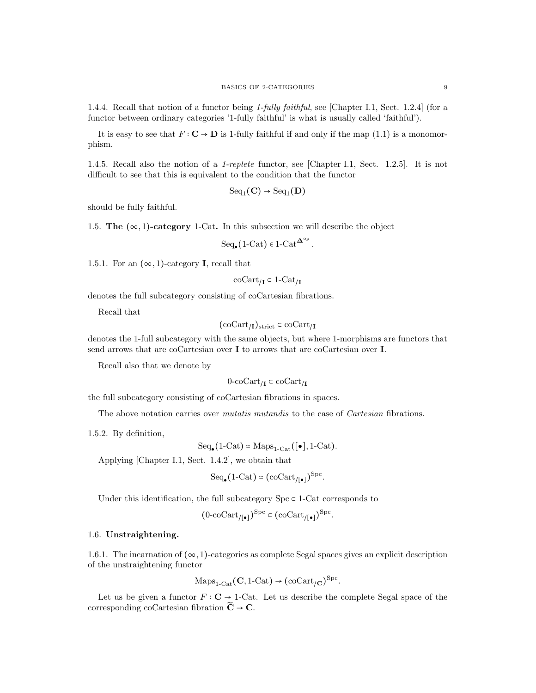1.4.4. Recall that notion of a functor being 1-fully faithful, see [Chapter I.1, Sect. 1.2.4] (for a functor between ordinary categories '1-fully faithful' is what is usually called 'faithful').

It is easy to see that  $F: \mathbb{C} \to \mathbb{D}$  is 1-fully faithful if and only if the map (1.1) is a monomorphism.

1.4.5. Recall also the notion of a 1-replete functor, see [Chapter I.1, Sect. 1.2.5]. It is not difficult to see that this is equivalent to the condition that the functor

$$
\mathrm{Seq}_1(\mathbf{C}) \to \mathrm{Seq}_1(\mathbf{D})
$$

should be fully faithful.

1.5. The  $(\infty, 1)$ -category 1-Cat. In this subsection we will describe the object

$$
\mathrm{Seq}_\bullet(1\text{-}\mathrm{Cat})\in 1\text{-}\mathrm{Cat}^{\mathbf{\Delta}^\mathrm{op}}.
$$

1.5.1. For an  $(\infty, 1)$ -category **I**, recall that

$$
\mathrm{coCart}_{/\mathbf{I}} \subset 1\text{-}\mathrm{Cat}_{/\mathbf{I}}
$$

denotes the full subcategory consisting of coCartesian fibrations.

Recall that

$$
({\rm coCart}_{/I})_{\rm strict}\subset {\rm coCart}_{/I}
$$

denotes the 1-full subcategory with the same objects, but where 1-morphisms are functors that send arrows that are coCartesian over I to arrows that are coCartesian over I.

Recall also that we denote by

$$
0\text{-}\mathrm{coCart}_{/\mathbf{I}}\subset \mathrm{coCart}_{/\mathbf{I}}
$$

the full subcategory consisting of coCartesian fibrations in spaces.

The above notation carries over *mutatis mutandis* to the case of *Cartesian* fibrations.

1.5.2. By definition,

$$
\mathrm{Seq}_{\bullet}(1\text{-}\mathrm{Cat}) \simeq \mathrm{Maps}_{1\text{-}\mathrm{Cat}}([\bullet], 1\text{-}\mathrm{Cat}).
$$

Applying [Chapter I.1, Sect. 1.4.2], we obtain that

$$
\mathrm{Seq}_\bullet\big(1\text{-}\mathrm{Cat}\big)\simeq\big(\mathrm{coCart}_{/[\bullet]}\big)^{\mathrm{Spc}}.
$$

Under this identification, the full subcategory  $Spc \subset 1$ -Cat corresponds to

$$
(0\text{-coCart}_{/[\bullet]})^{\text{Spc}} \subset (\text{coCart}_{/[\bullet]})^{\text{Spc}}.
$$

## 1.6. Unstraightening.

1.6.1. The incarnation of  $(\infty, 1)$ -categories as complete Segal spaces gives an explicit description of the unstraightening functor

$$
Maps_{1\text{-Cat}}(\mathbf{C}, 1\text{-Cat}) \rightarrow (coCart_{/\mathbf{C}})^{Spc}.
$$

Let us be given a functor  $F : \mathbf{C} \to 1$ -Cat. Let us describe the complete Segal space of the corresponding coCartesian fibration  $\widetilde{C} \rightarrow C$ .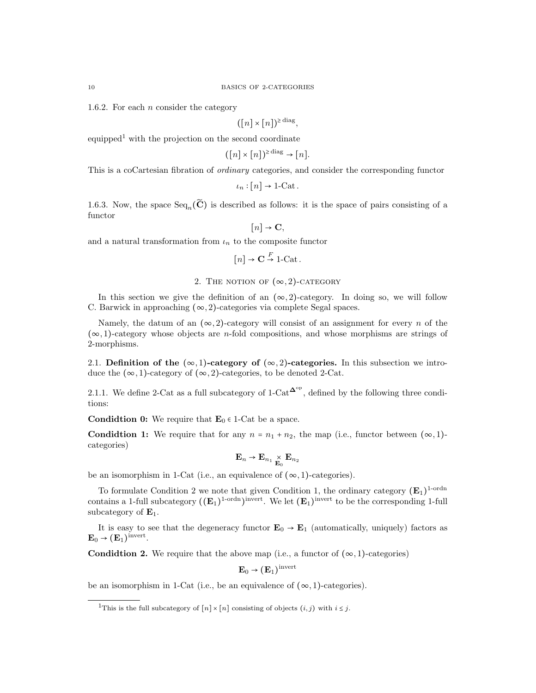1.6.2. For each n consider the category

$$
([n] \times [n])^{\geq \text{diag}},
$$

equipped<sup>1</sup> with the projection on the second coordinate

$$
([n] \times [n])^{\geq \text{diag}} \to [n].
$$

This is a coCartesian fibration of ordinary categories, and consider the corresponding functor

$$
\iota_n : [n] \to 1\text{-Cat} \, .
$$

1.6.3. Now, the space  $\text{Seq}_n(\widetilde{\mathbf{C}})$  is described as follows: it is the space of pairs consisting of a functor

$$
[n] \to \mathbf{C},
$$

and a natural transformation from  $\iota_n$  to the composite functor

$$
[n] \rightarrow \mathbf{C} \stackrel{F}{\rightarrow} 1\text{-Cat}.
$$

## 2. THE NOTION OF  $(\infty, 2)$ -CATEGORY

In this section we give the definition of an  $(\infty, 2)$ -category. In doing so, we will follow C. Barwick in approaching  $(\infty, 2)$ -categories via complete Segal spaces.

Namely, the datum of an  $(\infty, 2)$ -category will consist of an assignment for every n of the  $(\infty, 1)$ -category whose objects are *n*-fold compositions, and whose morphisms are strings of 2-morphisms.

2.1. Definition of the  $(\infty, 1)$ -category of  $(\infty, 2)$ -categories. In this subsection we introduce the  $(\infty, 1)$ -category of  $(\infty, 2)$ -categories, to be denoted 2-Cat.

2.1.1. We define 2-Cat as a full subcategory of  $1$ -Cat<sup> $\Delta^{\circ p}$ </sup>, defined by the following three conditions:

**Condidtion 0:** We require that  $\mathbf{E}_0 \in 1$ -Cat be a space.

**Condidtion 1:** We require that for any  $n = n_1 + n_2$ , the map (i.e., functor between  $(\infty, 1)$ ) categories)

$$
\mathbf{E}_n \to \mathbf{E}_{n_1} \underset{\mathbf{E}_0}{\times} \mathbf{E}_{n_2}
$$

be an isomorphism in 1-Cat (i.e., an equivalence of  $(\infty, 1)$ -categories).

To formulate Condition 2 we note that given Condition 1, the ordinary category  $(E_1)^{1-\text{ordn}}$ contains a 1-full subcategory  $((\mathbf{E}_1)^{1\text{-ordn}})$ <sup>invert</sup>. We let  $(\mathbf{E}_1)^{\text{invert}}$  to be the corresponding 1-full subcategory of  $\mathbf{E}_1$ .

It is easy to see that the degeneracy functor  $\mathbf{E}_0 \to \mathbf{E}_1$  (automatically, uniquely) factors as  $\mathbf{E}_0 \rightarrow (\mathbf{E}_1)^{\text{invert}}.$ 

**Condidtion 2.** We require that the above map (i.e., a functor of  $(\infty, 1)$ -categories)

$$
\mathbf{E}_0 \to (\mathbf{E}_1)^{\mathrm{invert}}
$$

be an isomorphism in 1-Cat (i.e., be an equivalence of  $(\infty, 1)$ -categories).

<sup>&</sup>lt;sup>1</sup>This is the full subcategory of  $[n] \times [n]$  consisting of objects  $(i, j)$  with  $i \leq j$ .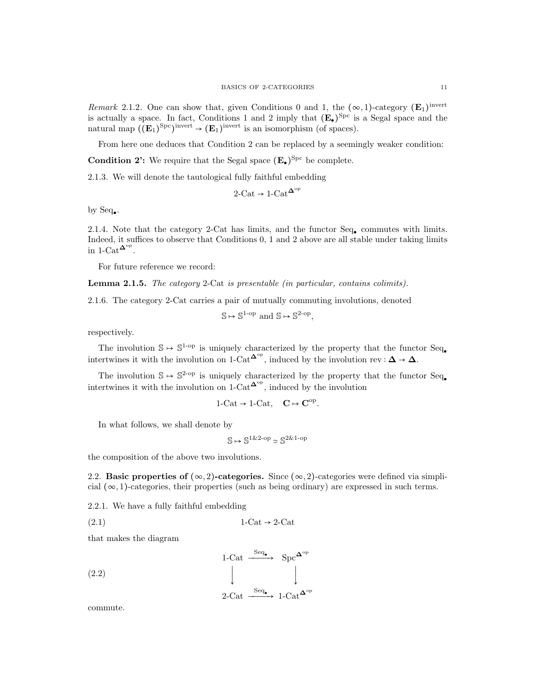Remark 2.1.2. One can show that, given Conditions 0 and 1, the  $(\infty, 1)$ -category  $(\mathbf{E}_1)$ <sup>invert</sup> is actually a space. In fact, Conditions 1 and 2 imply that  $(E_{\bullet})^{\text{Spc}}$  is a Segal space and the natural map  $((\mathbf{E}_1)^{\text{Spc}})^{\text{invert}} \to (\mathbf{E}_1)^{\text{invert}}$  is an isomorphism (of spaces).

From here one deduces that Condition 2 can be replaced by a seemingly weaker condition:

Condition 2': We require that the Segal space  $(E_{\bullet})^{\text{Spc}}$  be complete.

2.1.3. We will denote the tautological fully faithful embedding

$$
2\text{-}\mathrm{Cat} \to 1\text{-}\mathrm{Cat}^{\mathbf{\Delta}^\mathrm{op}}
$$

by  $Seq_{\bullet}$ .

2.1.4. Note that the category 2-Cat has limits, and the functor  $Seq_{\bullet}$  commutes with limits. Indeed, it suffices to observe that Conditions 0, 1 and 2 above are all stable under taking limits in 1-Cat<sup> $\mathbf{\Delta}^{\text{op}}$ .</sup>

For future reference we record:

Lemma 2.1.5. The category 2-Cat is presentable (in particular, contains colimits).

2.1.6. The category 2-Cat carries a pair of mutually commuting involutions, denoted

 $\mathbb{S} \mapsto \mathbb{S}^{1-\text{op}}$  and  $\mathbb{S} \mapsto \mathbb{S}^{2-\text{op}}$ ,

respectively.

The involution  $\mathbb{S} \mapsto \mathbb{S}^{1-\text{op}}$  is uniquely characterized by the property that the functor Seq. intertwines it with the involution on 1-Cat<sup> $\Delta^{\circ p}$ </sup>, induced by the involution rev :  $\Delta \to \Delta$ .

The involution  $\mathbb{S} \mapsto \mathbb{S}^{2-\text{op}}$  is uniquely characterized by the property that the functor Seq. intertwines it with the involution on 1-Cat  $\mathbf{L}^{\mathbf{op}}$ , induced by the involution

$$
1\text{-}\mathrm{Cat} \to 1\text{-}\mathrm{Cat}, \quad \mathbf{C} \mapsto \mathbf{C}^\mathrm{op}.
$$

In what follows, we shall denote by

$$
\mathbb{S} \mapsto \mathbb{S}^{1 \& 2\text{-op}} \simeq \mathbb{S}^{2 \& 1\text{-op}}
$$

the composition of the above two involutions.

2.2. Basic properties of  $(\infty, 2)$ -categories. Since  $(\infty, 2)$ -categories were defined via simplicial  $(\infty, 1)$ -categories, their properties (such as being ordinary) are expressed in such terms.

2.2.1. We have a fully faithful embedding

$$
(2.1) \t1-Cat \rightarrow 2-Cat
$$

that makes the diagram

$$
\begin{array}{ccc}\n & 1-\text{Cat} & \xrightarrow{\text{Seq}_{\bullet}} & \text{Spc}^{\Delta^{\text{op}}} \\
 & \downarrow & & \downarrow \\
 & 2-\text{Cat} & \xrightarrow{\text{Seq}_{\bullet}} & 1-\text{Cat}^{\Delta^{\text{op}}} \\
\end{array}
$$

commute.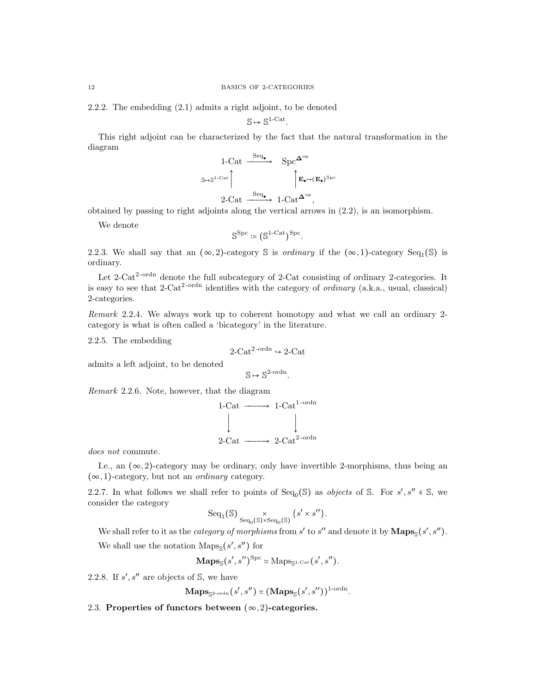2.2.2. The embedding (2.1) admits a right adjoint, to be denoted

$$
\mathbb{S}\mapsto \mathbb{S}^{1\text{-}\mathrm{Cat}}.
$$

This right adjoint can be characterized by the fact that the natural transformation in the diagram

$$
\begin{array}{ccc}\n1\text{-Cat} & \xrightarrow{\text{Seq}_{\bullet}} & \text{Spec}^{\mathbf{\Delta}^{\mathrm{op}}} \\
\Big\downarrow^{\mathbf{S}\mapsto\mathbf{S}^{1\text{-Cat}}}\Big\uparrow^{\mathbf{S}\text{-act}} & & \Big\uparrow^{\mathbf{E}_{\bullet}\mapsto(\mathbf{E}_{\bullet})^{\text{Spec}}} \\
2\text{-Cat} & \xrightarrow{\text{Seq}_{\bullet}} & 1\text{-Cat}^{\mathbf{\Delta}^{\mathrm{op}}},\n\end{array}
$$

obtained by passing to right adjoints along the vertical arrows in (2.2), is an isomorphism.

We denote

$$
\mathbb{S}^{\mathrm{Spc}}\coloneqq\big(\mathbb{S}^{1\text{-}\mathrm{Cat}}\big)^{\mathrm{Spc}}.
$$

2.2.3. We shall say that an  $(\infty, 2)$ -category S is *ordinary* if the  $(\infty, 1)$ -category Seq<sub>1</sub>(S) is ordinary.

Let 2-Cat<sup>2-ordn</sup> denote the full subcategory of 2-Cat consisting of ordinary 2-categories. It is easy to see that 2-Cat<sup>2-ordn</sup> identifies with the category of *ordinary* (a.k.a., usual, classical) 2-categories.

Remark 2.2.4. We always work up to coherent homotopy and what we call an ordinary 2 category is what is often called a 'bicategory' in the literature.

2.2.5. The embedding

$$
2\text{-Cat}^{2\text{-ordn}} \rightarrow 2\text{-Cat}
$$

admits a left adjoint, to be denoted

$$
\mathbb{S} \mapsto \mathbb{S}^{2\text{-ordn}}.
$$

Remark 2.2.6. Note, however, that the diagram



does not commute.

I.e., an  $(\infty, 2)$ -category may be ordinary, only have invertible 2-morphisms, thus being an  $(\infty, 1)$ -category, but not an *ordinary* category.

2.2.7. In what follows we shall refer to points of  $Seq_0(\mathbb{S})$  as *objects* of  $\mathbb{S}$ . For  $s', s'' \in \mathbb{S}$ , we consider the category

$$
\mathrm{Seq}_1(\mathbb{S}) \underset{\mathrm{Seq}_0(\mathbb{S}) \times \mathrm{Seq}_0(\mathbb{S})}{\times} \{s' \times s''\}.
$$

We shall refer to it as the *category of morphisms* from  $s'$  to  $s''$  and denote it by  $\mathbf{Maps}_{\mathbb{S}}(s', s'')$ . We shall use the notation  $\text{Maps}_{\mathbb{S}}(s', s'')$  for

$$
\mathbf{Maps}_{\mathbb{S}}(s', s'')^{\text{Spc}} \simeq \text{Maps}_{\mathbb{S}^{1}\text{-}\mathrm{Cat}}(s', s'').
$$

2.2.8. If  $s', s''$  are objects of  $\mathbb{S}$ , we have

$$
\mathbf{Maps}_{\mathbb{S}^{2\text{-}\mathrm{ordn}}}(s',s'') \simeq (\mathbf{Maps}_{\mathbb{S}}(s',s''))^{1\text{-}\mathrm{ordn}}.
$$

2.3. Properties of functors between  $(\infty, 2)$ -categories.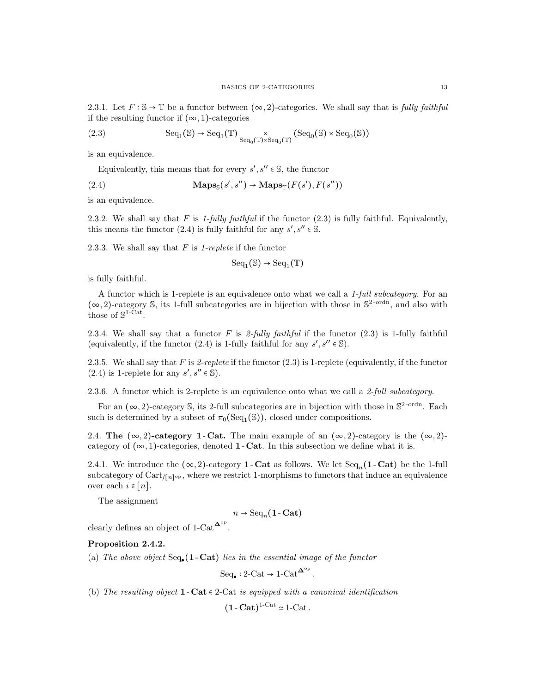2.3.1. Let  $F : \mathbb{S} \to \mathbb{T}$  be a functor between  $(\infty, 2)$ -categories. We shall say that is *fully faithful* if the resulting functor if  $(\infty, 1)$ -categories

(2.3) 
$$
\text{Seq}_1(\mathbb{S}) \to \text{Seq}_1(\mathbb{T}) \underset{\text{Seq}_0(\mathbb{T}) \times \text{Seq}_0(\mathbb{T})}{\times} (\text{Seq}_0(\mathbb{S}) \times \text{Seq}_0(\mathbb{S}))
$$

is an equivalence.

Equivalently, this means that for every  $s', s'' \in \mathbb{S}$ , the functor

(2.4) 
$$
\mathbf{Maps}_{\mathbb{S}}(s', s'') \to \mathbf{Maps}_{\mathbb{T}}(F(s'), F(s''))
$$

is an equivalence.

2.3.2. We shall say that F is 1-fully faithful if the functor  $(2.3)$  is fully faithful. Equivalently, this means the functor (2.4) is fully faithful for any  $s', s'' \in \mathbb{S}$ .

2.3.3. We shall say that  $F$  is 1-replete if the functor

$$
\mathrm{Seq}_1(\mathbb{S})\to\mathrm{Seq}_1(\mathbb{T})
$$

is fully faithful.

A functor which is 1-replete is an equivalence onto what we call a 1-full subcategory. For an  $(\infty, 2)$ -category S, its 1-full subcategories are in bijection with those in  $\mathbb{S}^2$ -ordn, and also with those of  $\mathbb{S}^{1-\text{Cat}}$ .

2.3.4. We shall say that a functor F is 2-fully faithful if the functor  $(2.3)$  is 1-fully faithful (equivalently, if the functor (2.4) is 1-fully faithful for any  $s', s'' \in \mathbb{S}$ ).

2.3.5. We shall say that F is 2-replete if the functor  $(2.3)$  is 1-replete (equivalently, if the functor (2.4) is 1-replete for any  $s', s'' \in \mathbb{S}$ ).

2.3.6. A functor which is 2-replete is an equivalence onto what we call a 2-full subcategory.

For an  $(\infty, 2)$ -category S, its 2-full subcategories are in bijection with those in  $\mathbb{S}^2$ -ordn. Each such is determined by a subset of  $\pi_0(\text{Seq}_1(\mathbb{S}))$ , closed under compositions.

2.4. The  $(\infty, 2)$ -category 1 - Cat. The main example of an  $(\infty, 2)$ -category is the  $(\infty, 2)$ category of  $(\infty, 1)$ -categories, denoted **1** - Cat. In this subsection we define what it is.

2.4.1. We introduce the  $(\infty, 2)$ -category **1** - Cat as follows. We let  $Seq_n(1 - Cat)$  be the 1-full subcategory of  $Cart_{/[n]^{op}}$ , where we restrict 1-morphisms to functors that induce an equivalence over each  $i \in [n]$ .

The assignment

 $n \mapsto \text{Seq}_n(\mathbf{1}\text{-}\mathbf{Cat})$ 

clearly defines an object of 1-Cat<sup> $\Delta^{\circ p}$ </sup>.

#### Proposition 2.4.2.

(a) The above object  $Seq_{\bullet}(1 - \text{Cat})$  lies in the essential image of the functor

 $Seq_{\bullet}: 2\text{-Cat} \to 1\text{-Cat}^{\mathbf{\Delta}^{\text{op}}}.$ 

(b) The resulting object 1 - Cat  $\epsilon$  2-Cat is equipped with a canonical identification

 $(1 - \text{Cat})^{1-\text{Cat}} \approx 1-\text{Cat}.$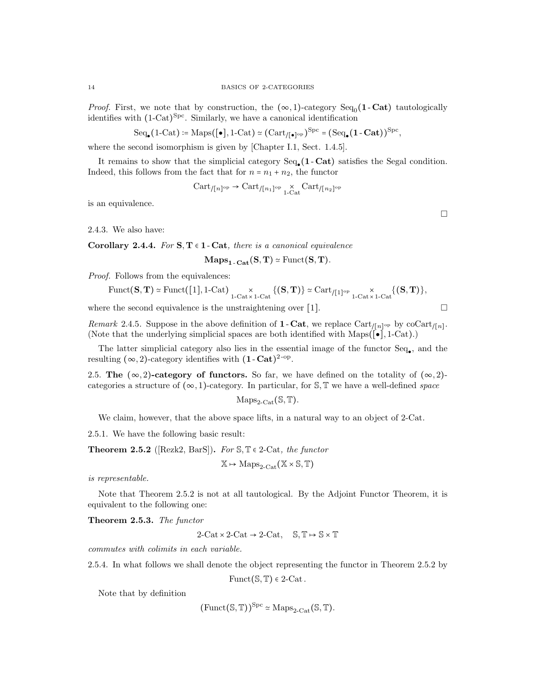*Proof.* First, we note that by construction, the  $(\infty, 1)$ -category Seq<sub>0</sub>(1-Cat) tautologically identifies with (1-Cat) Spc. Similarly, we have a canonical identification

$$
\mathrm{Seq}_\bullet\big(1\text{-}\mathrm{Cat}\big)\coloneqq\mathrm{Maps}\big([\bullet],1\text{-}\mathrm{Cat}\big)\simeq\big(\mathrm{Cart}_{/[\bullet]^{\mathrm{op}}}\big)^{\mathrm{Spc}}=\big(\mathrm{Seq}_\bullet\big(1\text{-}\mathbf{Cat}\big)\big)^{\mathrm{Spc}},
$$

where the second isomorphism is given by [Chapter I.1, Sect. 1.4.5].

It remains to show that the simplicial category  $Seq_{\bullet}(1 - \text{Cat})$  satisfies the Segal condition. Indeed, this follows from the fact that for  $n = n_1 + n_2$ , the functor

$$
Cart_{/[n]^\text{op}} \to \text{Cart}_{/[n_1]^\text{op}} \underset{1-\text{Cat}}{\times} \text{Cart}_{/[n_2]^\text{op}}
$$

is an equivalence.

2.4.3. We also have:

Corollary 2.4.4. For  $S, T \in 1$ -Cat, there is a canonical equivalence

 $\mathbf{Maps}_{1-\mathbf{Cat}}(\mathbf{S}, \mathbf{T}) \simeq \mathrm{Funct}(\mathbf{S}, \mathbf{T}).$ 

*Proof.* Follows from the equivalences:

$$
\mathrm{Funct}({\mathbf{S}},{\mathbf{T}})\simeq \mathrm{Funct}(\text{\small{[1]}},\text{1-Cat})\underset{\text{1-Cat}\times \text{1-Cat}}{\times} \{({\mathbf{S}},{\mathbf{T}})\}\simeq \mathrm{Cart}_{/\text{\small{[1]}}^{\mathrm{op}}}\underset{\text{1-Cat}\times \text{1-Cat}}{\times} \{({\mathbf{S}},{\mathbf{T}})\},
$$

where the second equivalence is the unstraightening over [1].  $\Box$ 

Remark 2.4.5. Suppose in the above definition of **1**-Cat, we replace  $Cart_{\sqrt{n}}$  by  $cot \left(\frac{n}{\sqrt{n}}\right)$ . (Note that the underlying simplicial spaces are both identified with Maps( $[\bullet]$ , 1-Cat).)

The latter simplicial category also lies in the essential image of the functor  $Seq_{\bullet}$ , and the resulting  $(\infty, 2)$ -category identifies with  $(1 - \text{Cat})^{2-\text{op}}$ .

2.5. The  $(\infty, 2)$ -category of functors. So far, we have defined on the totality of  $(\infty, 2)$ categories a structure of  $(\infty, 1)$ -category. In particular, for S, T we have a well-defined *space* 

$$
\mathrm{Maps}_{2\text{-}\mathrm{Cat}}(\mathbb{S},\mathbb{T}).
$$

We claim, however, that the above space lifts, in a natural way to an object of 2-Cat.

2.5.1. We have the following basic result:

**Theorem 2.5.2** ([Rezk2, BarS]). For  $\mathcal{S}, \mathbb{T} \in 2$ -Cat, the functor

$$
\mathbb{X} \mapsto \mathrm{Maps}_{2\text{-}\mathrm{Cat}}(\mathbb{X} \times \mathbb{S}, \mathbb{T})
$$

is representable.

Note that Theorem 2.5.2 is not at all tautological. By the Adjoint Functor Theorem, it is equivalent to the following one:

Theorem 2.5.3. The functor

 $2$ -Cat × 2-Cat → 2-Cat,  $\mathbb{S}.\mathbb{T} \mapsto \mathbb{S} \times \mathbb{T}$ 

commutes with colimits in each variable.

2.5.4. In what follows we shall denote the object representing the functor in Theorem 2.5.2 by

Funct( $\mathcal{S}, \mathcal{T}$ )  $\in$  2-Cat.

Note that by definition

$$
(\text{Funct}(\mathbb{S}, \mathbb{T}))^{\text{Spc}} \simeq \text{Maps}_{2\text{-Cat}}(\mathbb{S}, \mathbb{T}).
$$

 $\Box$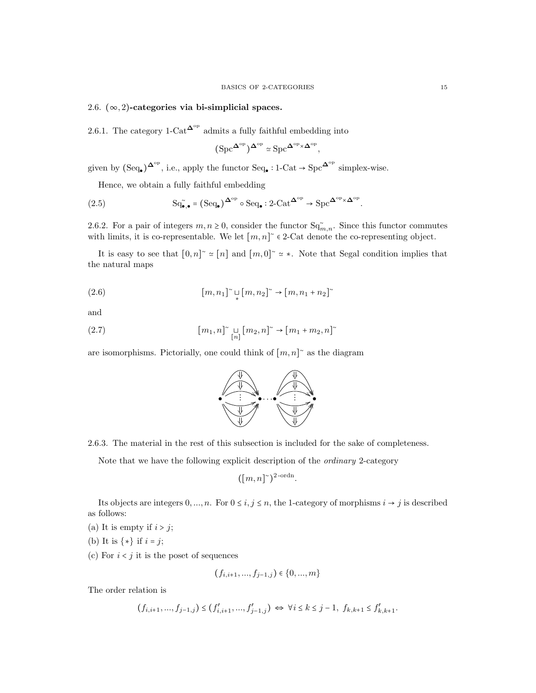# 2.6.  $(\infty, 2)$ -categories via bi-simplicial spaces.

2.6.1. The category 1-Cat<sup> $\Delta^{\rm op}$ </sup> admits a fully faithful embedding into

$$
\big(\mathrm{Spc}^{\mathbf{\Delta}^{\mathrm{op}}}\big)^{\mathbf{\Delta}^{\mathrm{op}}}\simeq \mathrm{Spc}^{\mathbf{\Delta}^{\mathrm{op}}\times \mathbf{\Delta}^{\mathrm{op}}},
$$

given by  $(\text{Seq}_{\bullet})^{\mathbf{\Delta}^{\text{op}}}$ , i.e., apply the functor  $\text{Seq}_{\bullet}: 1\text{-}\text{Cat} \to \text{Spc}^{\mathbf{\Delta}^{\text{op}}}$  simplex-wise.

Hence, we obtain a fully faithful embedding

(2.5) 
$$
\mathrm{Sq}_{\bullet,\bullet}^{\sim} = (\mathrm{Seq}_{\bullet})^{\Delta^{\mathrm{op}}} \circ \mathrm{Seq}_{\bullet} : 2\text{-}\mathrm{Cat}^{\Delta^{\mathrm{op}}} \to \mathrm{Spc}^{\Delta^{\mathrm{op}} \times \Delta^{\mathrm{op}}}.
$$

2.6.2. For a pair of integers  $m, n \ge 0$ , consider the functor  $Sq_{m,n}^{\sim}$ . Since this functor commutes with limits, it is co-representable. We let  $[m, n]$ <sup>~</sup>  $\in$  2-Cat denote the co-representing object.

It is easy to see that  $[0,n] \cong [n]$  and  $[m,0] \cong$  \*. Note that Segal condition implies that the natural maps

(2.6) 
$$
[m,n_1]^\sim \underset{\ast}{\sqcup} [m,n_2]^\sim \to [m,n_1+n_2]^\sim
$$

and

(2.7) 
$$
[m_1, n]^\sim \underset{[n]}{\sqcup} [m_2, n]^\sim \to [m_1 + m_2, n]^\sim
$$

are isomorphisms. Pictorially, one could think of  $[m, n]$ <sup>~</sup> as the diagram



2.6.3. The material in the rest of this subsection is included for the sake of completeness.

Note that we have the following explicit description of the ordinary 2-category

$$
([m,n]^{\sim})^{2\text{-ordn}}.
$$

Its objects are integers  $0, ..., n$ . For  $0 \le i, j \le n$ , the 1-category of morphisms  $i \to j$  is described as follows:

- (a) It is empty if  $i > j$ ;
- (b) It is  $\{*\}$  if  $i = j$ ;
- (c) For  $i < j$  it is the poset of sequences

$$
(f_{i,i+1},...,f_{j-1,j}) \in \{0,...,m\}
$$

The order relation is

$$
(f_{i,i+1},...,f_{j-1,j}) \le (f'_{i,i+1},...,f'_{j-1,j}) \iff \forall i \le k \le j-1, \ f_{k,k+1} \le f'_{k,k+1}.
$$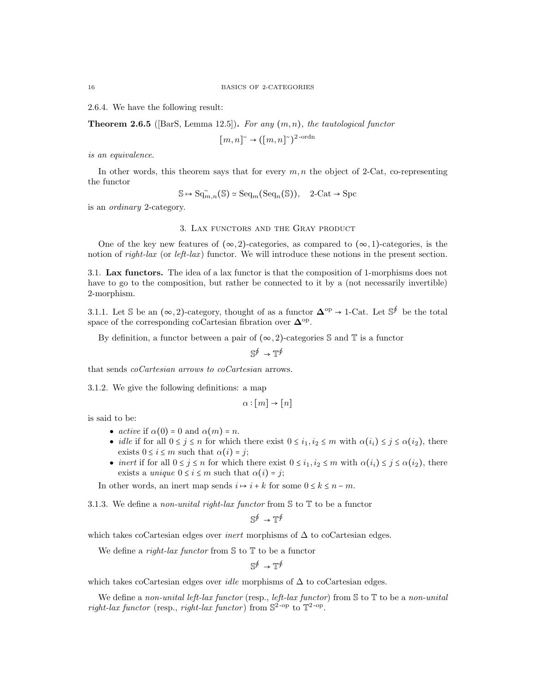2.6.4. We have the following result:

**Theorem 2.6.5** ([BarS, Lemma 12.5]). For any  $(m, n)$ , the tautological functor

 $[m, n] \to ([m, n] \check{ })^{2\text{-ordn}}$ 

is an equivalence.

In other words, this theorem says that for every  $m, n$  the object of 2-Cat, co-representing the functor

$$
\mathbb{S} \mapsto \mathrm{Sq}_{m,n}^{\sim}(\mathbb{S}) \simeq \mathrm{Seq}_{m}(\mathrm{Seq}_{n}(\mathbb{S})), \quad 2\text{-}\mathrm{Cat} \to \mathrm{Spc}
$$

is an ordinary 2-category.

#### 3. Lax functors and the Gray product

One of the key new features of  $(\infty, 2)$ -categories, as compared to  $(\infty, 1)$ -categories, is the notion of right-lax (or left-lax) functor. We will introduce these notions in the present section.

3.1. Lax functors. The idea of a lax functor is that the composition of 1-morphisms does not have to go to the composition, but rather be connected to it by a (not necessarily invertible) 2-morphism.

3.1.1. Let S be an  $(\infty, 2)$ -category, thought of as a functor  $\mathbf{\Delta}^{\mathrm{op}} \to 1$ -Cat. Let S<sup>∮</sup> be the total space of the corresponding coCartesian fibration over  $\Delta^{\text{op}}$ .

By definition, a functor between a pair of  $(\infty, 2)$ -categories S and T is a functor

 $\mathbb{S}^{\oint} \to \mathbb{T}^{\oint}$ 

that sends coCartesian arrows to coCartesian arrows.

3.1.2. We give the following definitions: a map

$$
\alpha : [m] \to [n]
$$

is said to be:

- active if  $\alpha(0) = 0$  and  $\alpha(m) = n$ .
- idle if for all  $0 \leq j \leq n$  for which there exist  $0 \leq i_1, i_2 \leq m$  with  $\alpha(i_i) \leq j \leq \alpha(i_2)$ , there exists  $0 \leq i \leq m$  such that  $\alpha(i) = j$ ;
- inert if for all  $0 \leq j \leq n$  for which there exist  $0 \leq i_1, i_2 \leq m$  with  $\alpha(i_i) \leq j \leq \alpha(i_2)$ , there exists a *unique*  $0 \le i \le m$  such that  $\alpha(i) = j$ ;

In other words, an inert map sends  $i \mapsto i + k$  for some  $0 \le k \le n - m$ .

3.1.3. We define a non-unital right-lax functor from  $\mathcal S$  to  $\mathbb T$  to be a functor

$$
\mathbb{S}^{\oint} \to \mathbb{T}^{\oint}
$$

which takes coCartesian edges over *inert* morphisms of  $\Delta$  to coCartesian edges.

We define a *right-lax functor* from  $S$  to  $T$  to be a functor

$$
\mathbb{S}^{\oint} \to \mathbb{T}^{\oint}
$$

which takes coCartesian edges over *idle* morphisms of  $\Delta$  to coCartesian edges.

We define a non-unital left-lax functor (resp., left-lax functor) from  $\mathcal S$  to  $\mathbb T$  to be a non-unital right-lax functor (resp., right-lax functor) from  $\mathbb{S}^2$ -op to  $\mathbb{T}^2$ -op.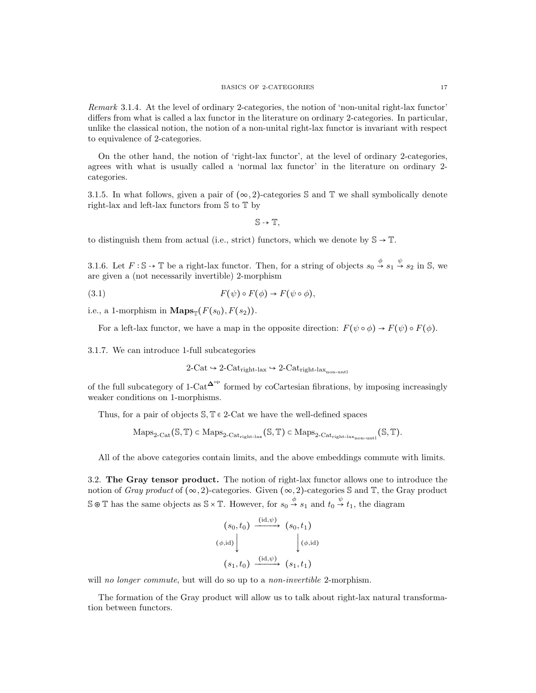Remark 3.1.4. At the level of ordinary 2-categories, the notion of 'non-unital right-lax functor' differs from what is called a lax functor in the literature on ordinary 2-categories. In particular, unlike the classical notion, the notion of a non-unital right-lax functor is invariant with respect to equivalence of 2-categories.

On the other hand, the notion of 'right-lax functor', at the level of ordinary 2-categories, agrees with what is usually called a 'normal lax functor' in the literature on ordinary 2 categories.

3.1.5. In what follows, given a pair of  $(\infty, 2)$ -categories S and T we shall symbolically denote right-lax and left-lax functors from S to T by

 $S \rightarrow T$ .

to distinguish them from actual (i.e., strict) functors, which we denote by  $\mathbb{S} \to \mathbb{T}$ .

3.1.6. Let  $F : \mathbb{S} \to \mathbb{T}$  be a right-lax functor. Then, for a string of objects  $s_0 \stackrel{\phi}{\to} s_1 \stackrel{\psi}{\to} s_2$  in  $\mathbb{S}$ , we are given a (not necessarily invertible) 2-morphism

(3.1) 
$$
F(\psi) \circ F(\phi) \to F(\psi \circ \phi),
$$

i.e., a 1-morphism in  $\mathbf{Maps}_{\mathbb{T}}(F(s_0), F(s_2)).$ 

For a left-lax functor, we have a map in the opposite direction:  $F(\psi \circ \phi) \to F(\psi) \circ F(\phi)$ .

3.1.7. We can introduce 1-full subcategories

$$
2\text{-Cat} \hookrightarrow 2\text{-Cat}_{\text{right-lax}} \hookrightarrow 2\text{-Cat}_{\text{right-lax}_{\text{non-unit}}}
$$

of the full subcategory of 1-Cat<sup> $\Delta^{\circ p}$ </sup> formed by coCartesian fibrations, by imposing increasingly weaker conditions on 1-morphisms.

Thus, for a pair of objects  $\mathcal{S}, \mathbb{T} \in 2$ -Cat we have the well-defined spaces

$$
\mathrm{Maps}_{2\text{-}\mathrm{Cat}}(\mathbb{S}, \mathbb{T}) \subset \mathrm{Maps}_{2\text{-}\mathrm{Cat}_{\mathrm{right}\text{-}\mathrm{lex}}}(\mathbb{S}, \mathbb{T}) \subset \mathrm{Maps}_{2\text{-}\mathrm{Cat}_{\mathrm{right}\text{-}\mathrm{lex}_{\mathrm{non\text{-}unt}}}}(\mathbb{S}, \mathbb{T}).
$$

All of the above categories contain limits, and the above embeddings commute with limits.

3.2. The Gray tensor product. The notion of right-lax functor allows one to introduce the notion of Gray product of  $(\infty, 2)$ -categories. Given  $(\infty, 2)$ -categories S and T, the Gray product  $\mathbb{S} \otimes \mathbb{T}$  has the same objects as  $\mathbb{S} \times \mathbb{T}$ . However, for  $s_0 \stackrel{\phi}{\to} s_1$  and  $t_0 \stackrel{\psi}{\to} t_1$ , the diagram

$$
(s_0, t_0) \xrightarrow{\text{(id,}\psi)} (s_0, t_1)
$$
  

$$
(\phi, \text{id}) \downarrow \qquad \qquad (\phi, \text{id})
$$
  

$$
(s_1, t_0) \xrightarrow{\text{(id,}\psi)} (s_1, t_1)
$$

will no longer commute, but will do so up to a non-invertible 2-morphism.

The formation of the Gray product will allow us to talk about right-lax natural transformation between functors.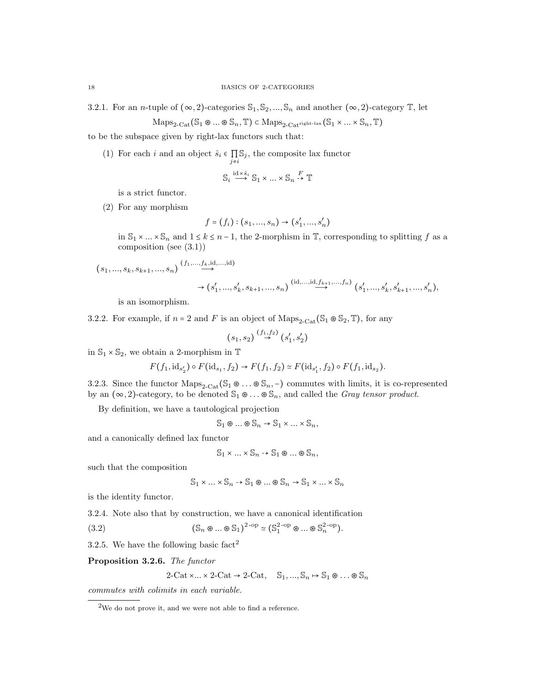3.2.1. For an *n*-tuple of  $(\infty, 2)$ -categories  $\mathbb{S}_1, \mathbb{S}_2, ..., \mathbb{S}_n$  and another  $(\infty, 2)$ -category T, let

$$
\mathrm{Maps}_{2\text{-}\mathrm{Cat}}(\mathbb{S}_1 \otimes \ldots \otimes \mathbb{S}_n, \mathbb{T}) \subset \mathrm{Maps}_{2\text{-}\mathrm{Cat}^{\mathrm{right\text{-}lex}}}(S_1 \times \ldots \times S_n, \mathbb{T})
$$

to be the subspace given by right-lax functors such that:

(1) For each i and an object  $\hat{s}_i \in \prod_{j \neq i} \mathbb{S}_j$ , the composite lax functor

$$
\mathbb{S}_i \stackrel{\mathrm{id} \times \hat{s}_i}{\longrightarrow} \mathbb{S}_1 \times \dots \times \mathbb{S}_n \stackrel{F}{\rightarrow} \mathbb{T}
$$

is a strict functor.

(2) For any morphism

$$
f = (f_i) : (s_1, ..., s_n) \to (s'_1, ..., s'_n)
$$

in  $\mathbb{S}_1 \times ... \times \mathbb{S}_n$  and  $1 \leq k \leq n-1$ , the 2-morphism in  $\mathbb{T}$ , corresponding to splitting f as a composition (see (3.1))

$$
(s_1, ..., s_k, s_{k+1}, ..., s_n) \xrightarrow{(f_1, ..., f_k, id, ..., id)} (s'_1, ..., s'_k, s_{k+1}, ..., s_n) \xrightarrow{(id, ..., id, f_{k+1}, ..., f_n)} (s'_1, ..., s'_k, s'_{k+1}, ..., s'_n),
$$

is an isomorphism.

3.2.2. For example, if  $n = 2$  and F is an object of Maps<sub>2-Cat</sub>(S<sub>1</sub>  $\mathscr{S}_2$ , T), for any

$$
(s_1, s_2) \stackrel{(f_1, f_2)}{\rightarrow} (s'_1, s'_2)
$$

in  $\mathbb{S}_1 \times \mathbb{S}_2$ , we obtain a 2-morphism in  $\mathbb{T}$ 

$$
F(f_1, id_{s'_2}) \circ F(id_{s_1}, f_2) \to F(f_1, f_2) \simeq F(id_{s'_1}, f_2) \circ F(f_1, id_{s_2}).
$$

3.2.3. Since the functor  $\text{Maps}_{2-\text{Cat}}(\mathbb{S}_1 \otimes \ldots \otimes \mathbb{S}_n, -)$  commutes with limits, it is co-represented by an  $(\infty, 2)$ -category, to be denoted  $\mathbb{S}_1 \otimes \ldots \otimes \mathbb{S}_n$ , and called the *Gray tensor product*.

By definition, we have a tautological projection

 $\mathbb{S}_1 \otimes \ldots \otimes \mathbb{S}_n \to \mathbb{S}_1 \times \ldots \times \mathbb{S}_n,$ 

and a canonically defined lax functor

 $\mathbb{S}_1 \times ... \times \mathbb{S}_n \rightarrow \mathbb{S}_1 \otimes ... \otimes \mathbb{S}_n$ 

such that the composition

$$
\mathbb{S}_1 \times \ldots \times \mathbb{S}_n \to \mathbb{S}_1 \otimes \ldots \otimes \mathbb{S}_n \to \mathbb{S}_1 \times \ldots \times \mathbb{S}_n
$$

is the identity functor.

3.2.4. Note also that by construction, we have a canonical identification

(3.2) 
$$
(\mathbb{S}_n \otimes ... \otimes \mathbb{S}_1)^{2\text{-op}} \simeq (\mathbb{S}_1^{2\text{-op}} \otimes ... \otimes \mathbb{S}_n^{2\text{-op}}).
$$

3.2.5. We have the following basic  $fact<sup>2</sup>$ 

Proposition 3.2.6. The functor

$$
2\text{-Cat}\times\ldots\times 2\text{-Cat}\rightarrow 2\text{-Cat}, \quad \mathbb{S}_1, \ldots, \mathbb{S}_n \mapsto \mathbb{S}_1 \otimes \ldots \otimes \mathbb{S}_n
$$

commutes with colimits in each variable.

<sup>2</sup>We do not prove it, and we were not able to find a reference.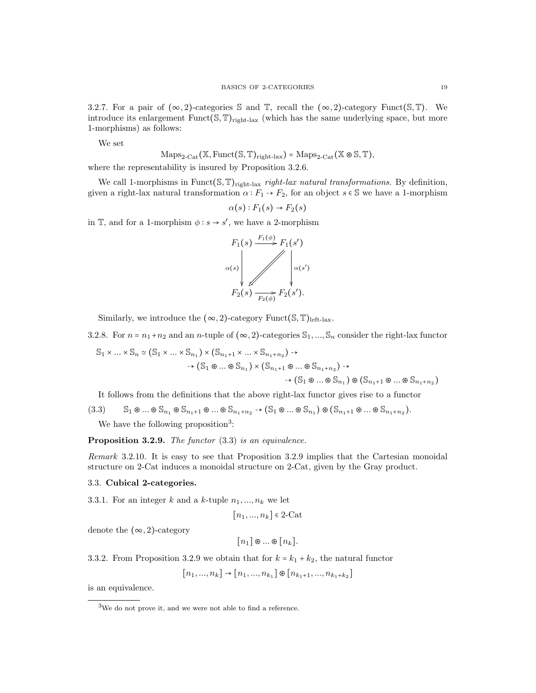3.2.7. For a pair of  $(\infty, 2)$ -categories S and T, recall the  $(\infty, 2)$ -category Funct(S, T). We introduce its enlargement  $Funct(S, \mathbb{T})_{right\text{-}lax}$  (which has the same underlying space, but more 1-morphisms) as follows:

We set

 $\text{Maps}_{2\text{-Cat}}(\mathbb{X}, \text{Funct}(\mathbb{S}, \mathbb{T})_{\text{right-law}}) = \text{Maps}_{2\text{-Cat}}(\mathbb{X} \otimes \mathbb{S}, \mathbb{T}),$ 

where the representability is insured by Proposition 3.2.6.

We call 1-morphisms in Funct( $\mathcal{S}, \mathbb{T}$ )<sub>right-lax</sub> right-lax natural transformations. By definition, given a right-lax natural transformation  $\alpha : F_1 \rightarrow F_2$ , for an object  $s \in \mathbb{S}$  we have a 1-morphism

$$
\alpha(s): F_1(s) \to F_2(s)
$$

in  $\mathbb{T}$ , and for a 1-morphism  $\phi: s \to s'$ , we have a 2-morphism



Similarly, we introduce the  $(\infty, 2)$ -category Funct $(\mathbb{S}, \mathbb{T})$ <sub>left-lax</sub>.

3.2.8. For  $n = n_1 + n_2$  and an n-tuple of  $(\infty, 2)$ -categories  $\mathbb{S}_1, ..., \mathbb{S}_n$  consider the right-lax functor

$$
S_1 \times \dots \times S_n \simeq (S_1 \times \dots \times S_{n_1}) \times (S_{n_1+1} \times \dots \times S_{n_1+n_2}) \rightarrow \n\rightarrow (S_1 \otimes \dots \otimes S_{n_1}) \times (S_{n_1+1} \otimes \dots \otimes S_{n_1+n_2}) \rightarrow \n\rightarrow (S_1 \otimes \dots \otimes S_{n_1}) \otimes (S_{n_1+1} \otimes \dots \otimes S_{n_1+n_2})
$$

It follows from the definitions that the above right-lax functor gives rise to a functor

 $(3.3)$  S<sub>1</sub>  $\otimes \ldots \otimes S_{n_1} \otimes S_{n_1+1} \otimes \ldots \otimes S_{n_1+n_2} \rightarrow (S_1 \otimes \ldots \otimes S_{n_1}) \otimes (S_{n_1+1} \otimes \ldots \otimes S_{n_1+n_2}).$ 

We have the following proposition<sup>3</sup>:

Proposition 3.2.9. The functor  $(3.3)$  is an equivalence.

Remark 3.2.10. It is easy to see that Proposition 3.2.9 implies that the Cartesian monoidal structure on 2-Cat induces a monoidal structure on 2-Cat, given by the Gray product.

### 3.3. Cubical 2-categories.

3.3.1. For an integer k and a k-tuple  $n_1, ..., n_k$  we let

$$
[n_1, ..., n_k] \in 2\text{-Cat}
$$

denote the  $(\infty, 2)$ -category

 $[n_1] \otimes ... \otimes [n_k].$ 

3.3.2. From Proposition 3.2.9 we obtain that for  $k = k_1 + k_2$ , the natural functor

 $[n_1, ..., n_k] \rightarrow [n_1, ..., n_{k_1}] \otimes [n_{k_1+1}, ..., n_{k_1+k_2}]$ 

is an equivalence.

<sup>3</sup>We do not prove it, and we were not able to find a reference.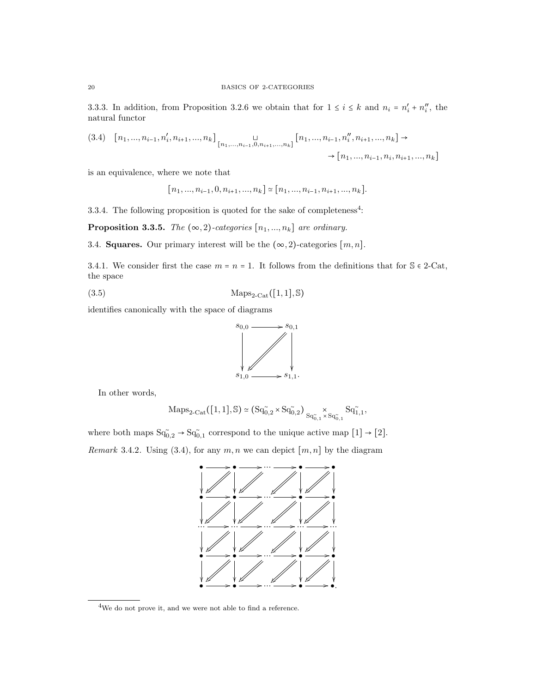3.3.3. In addition, from Proposition 3.2.6 we obtain that for  $1 \le i \le k$  and  $n_i = n'_i + n''_i$ , the natural functor

$$
(3.4) \quad [n_1, \dots, n_{i-1}, n'_i, n_{i+1}, \dots, n_k] \big|_{[n_1, \dots, n_{i-1}, 0, n_{i+1}, \dots, n_k]} [n_1, \dots, n_{i-1}, n''_i, n_{i+1}, \dots, n_k] \to \cdots
$$
  

$$
\rightarrow [n_1, \dots, n_{i-1}, n_i, n_{i+1}, \dots, n_k]
$$

is an equivalence, where we note that

$$
[n_1, ..., n_{i-1}, 0, n_{i+1}, ..., n_k] \simeq [n_1, ..., n_{i-1}, n_{i+1}, ..., n_k].
$$

3.3.4. The following proposition is quoted for the sake of completeness<sup>4</sup>:

**Proposition 3.3.5.** The  $(\infty, 2)$ -categories  $[n_1, ..., n_k]$  are ordinary.

3.4. **Squares.** Our primary interest will be the  $(\infty, 2)$ -categories  $[m, n]$ .

3.4.1. We consider first the case  $m = n = 1$ . It follows from the definitions that for  $\mathcal{S} \in 2\text{-Cat}$ , the space

(3.5) Maps<sub>2-Cat</sub>([1, 1], S)

identifies canonically with the space of diagrams



In other words,

$$
\mathrm{Maps}_{2\text{-}\mathrm{Cat}}\big([1,1], \mathbb{S}\big)\simeq \big(\mathrm{Sq}_{0,2}^{\sim}\times \mathrm{Sq}_{0,2}^{\sim}\big) \underset{\mathrm{Sq}_{0,1}^{\sim}\times \mathrm{Sq}_{0,1}^{\sim}}{\times} \mathrm{Sq}_{1,1}^{\sim},
$$

where both maps  $Sq_{0,2}^{\sim} \rightarrow Sq_{0,1}^{\sim}$  correspond to the unique active map  $[1] \rightarrow [2]$ . Remark 3.4.2. Using (3.4), for any  $m, n$  we can depict  $[m, n]$  by the diagram



<sup>4</sup>We do not prove it, and we were not able to find a reference.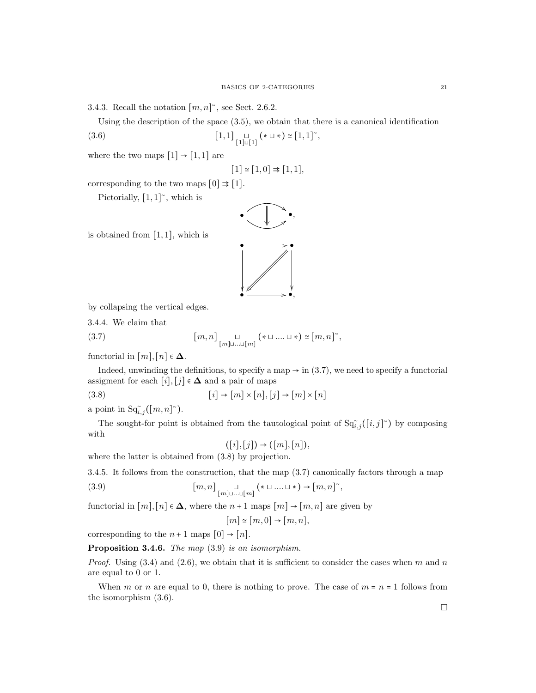3.4.3. Recall the notation  $[m, n]$ <sup>~</sup>, see Sect. 2.6.2.

Using the description of the space (3.5), we obtain that there is a canonical identification

,

$$
(3.6) \qquad \qquad [1,1] \underset{[1]\cup[1]}{\sqcup} (* \cup *) \simeq [1,1]^\sim
$$

where the two maps  $[1] \rightarrow [1,1]$  are

$$
[1] \simeq [1,0] \Rightarrow [1,1],
$$

 $\bullet$ ,  $\parallel$   $\bullet$ ,  $\frac{y}{2}$ 

corresponding to the two maps  $[0] \Rightarrow [1]$ .

Pictorially,  $[1,1]$ <sup> $\sim$ </sup>, which is





by collapsing the vertical edges.

3.4.4. We claim that

(3.7) 
$$
\left[m, n\right]_{\substack{\sqcup\\ \lbrack m \rbrack \sqcup ... \sqcup \lbrack m \rbrack}} (\ast \sqcup ... \sqcup \ast) \simeq \lbrack m, n \rbrack^{\sim},
$$

functorial in  $[m], [n] \in \Delta$ .

Indeed, unwinding the definitions, to specify a map  $\rightarrow$  in (3.7), we need to specify a functorial assigment for each  $[i], [j] \in \Delta$  and a pair of maps

(3.8)  $[i] \rightarrow [m] \times [n], [j] \rightarrow [m] \times [n]$ 

a point in  $\operatorname{Sq}_{i,j}^{\sim}([m,n]^{\sim}).$ 

The sought-for point is obtained from the tautological point of  $\text{Sq}^*_{i,j}([i,j]^{\sim})$  by composing with

$$
((i], [j]) \rightarrow ([m], [n]),
$$

where the latter is obtained from (3.8) by projection.

3.4.5. It follows from the construction, that the map (3.7) canonically factors through a map

(3.9) 
$$
\left[m, n\right]_{\substack{\sqcup\\ \lbrack m \rbrack \sqcup ... \sqcup \lbrack m \rbrack}} (\ast \sqcup ... \sqcup \ast) \to \lbrack m, n \rbrack^{\sim},
$$

functorial in  $[m], [n] \in \Delta$ , where the  $n+1$  maps  $[m] \rightarrow [m,n]$  are given by

$$
[m]\simeq [m,0]\to [m,n],
$$

corresponding to the  $n+1$  maps  $[0] \rightarrow [n]$ .

Proposition 3.4.6. The map  $(3.9)$  is an isomorphism.

*Proof.* Using  $(3.4)$  and  $(2.6)$ , we obtain that it is sufficient to consider the cases when m and n are equal to 0 or 1.

When m or n are equal to 0, there is nothing to prove. The case of  $m = n = 1$  follows from the isomorphism (3.6).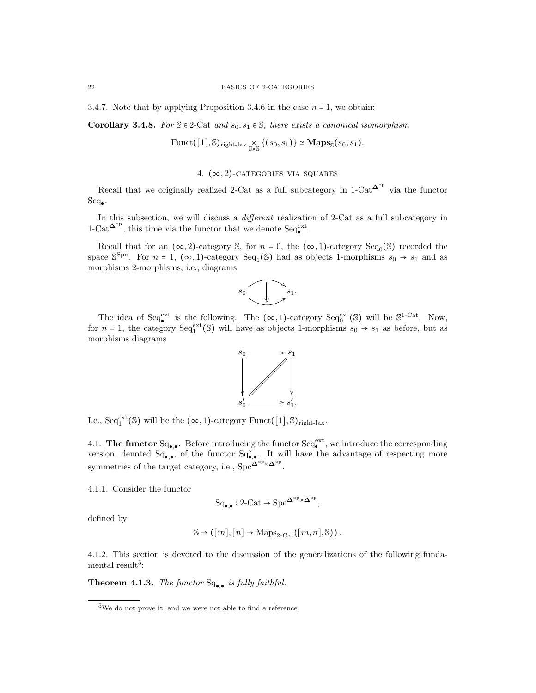3.4.7. Note that by applying Proposition 3.4.6 in the case  $n = 1$ , we obtain:

Corollary 3.4.8. For  $S \in 2$ -Cat and  $s_0, s_1 \in S$ , there exists a canonical isomorphism

$$
\text{Funct}([1], \mathbb{S})_{\text{right-lax}} \underset{\mathbb{S} \times \mathbb{S}}{\times} \{(s_0, s_1)\} \simeq \mathbf{Maps}_{\mathbb{S}}(s_0, s_1).
$$

4.  $(\infty, 2)$ -CATEGORIES VIA SQUARES

Recall that we originally realized 2-Cat as a full subcategory in  $1$ -Cat<sup> $\Delta^{\rm op}$ </sup> via the functor  $Seq_{\bullet}$ .

In this subsection, we will discuss a *different* realization of 2-Cat as a full subcategory in  $1-\text{Cat}^{\mathbf{\Delta}^{\text{op}}},$  this time via the functor that we denote  $\text{Seq}_{\bullet}^{\text{ext}}.$ 

Recall that for an  $(\infty, 2)$ -category S, for  $n = 0$ , the  $(\infty, 1)$ -category Seq<sub>0</sub>(S) recorded the space  $\mathbb{S}^{\text{Spc}}$ . For  $n = 1$ ,  $(\infty, 1)$ -category  $\text{Seq}_1(\mathbb{S})$  had as objects 1-morphisms  $s_0 \to s_1$  and as morphisms 2-morphisms, i.e., diagrams



The idea of Seq<sup>ext</sup> is the following. The  $(\infty, 1)$ -category Seq<sup>ext</sup>(S) will be S<sup>1-Cat</sup>. Now, for  $n = 1$ , the category  $Seq_1^{\text{ext}}(\mathbb{S})$  will have as objects 1-morphisms  $s_0 \rightarrow s_1$  as before, but as morphisms diagrams



I.e.,  $Seq_1^{\text{ext}}(\mathbb{S})$  will be the  $(\infty, 1)$ -category Funct $([1], \mathbb{S})$ <sub>right-lax</sub>.

4.1. The functor  $Sq_{\bullet,\bullet}$ . Before introducing the functor  $Seq_{\bullet}^{\text{ext}}$ , we introduce the corresponding version, denoted  $Sq_{\bullet,\bullet}$ , of the functor  $Sq_{\bullet,\bullet}$ . It will have the advantage of respecting more symmetries of the target category, i.e., Spc $^{\Delta^{op} \times \Delta^{op}}$ .

4.1.1. Consider the functor

$$
\mathrm{Sq}_{\bullet,\bullet}: 2\text{-}\mathrm{Cat} \to \mathrm{Spc}^{\mathbf{\Delta}^{\mathrm{op}}\times \mathbf{\Delta}^{\mathrm{op}}},
$$

defined by

$$
\mathbb{S} \mapsto ([m], [n] \mapsto \mathrm{Maps}_{2\text{-}\mathrm{Cat}}([m, n], \mathbb{S})).
$$

4.1.2. This section is devoted to the discussion of the generalizations of the following fundamental result<sup>5</sup>:

**Theorem 4.1.3.** The functor  $Sq_{\bullet,\bullet}$  is fully faithful.

<sup>&</sup>lt;sup>5</sup>We do not prove it, and we were not able to find a reference.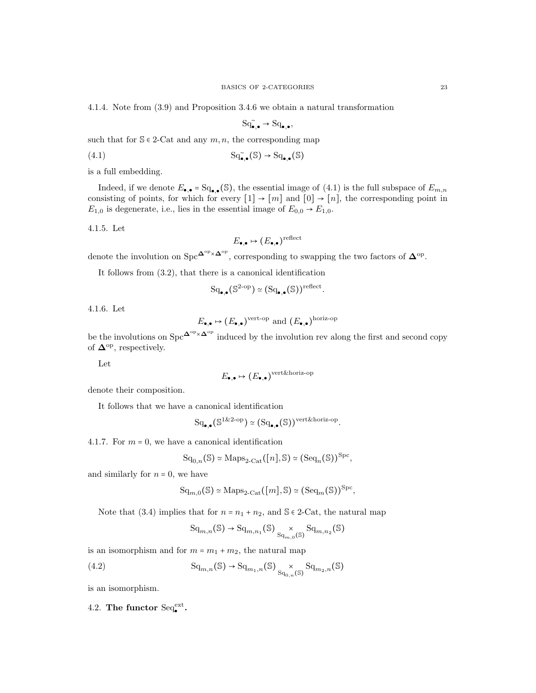4.1.4. Note from (3.9) and Proposition 3.4.6 we obtain a natural transformation

$$
\mathrm{Sq}^{\sim}_{\bullet,\bullet} \to \mathrm{Sq}_{\bullet,\bullet},
$$

such that for  $\mathcal{S} \in 2$ -Cat and any  $m, n$ , the corresponding map

$$
\mathrm{Sq}_{\bullet,\bullet}^{\sim}(\mathbb{S}) \to \mathrm{Sq}_{\bullet,\bullet}(\mathbb{S})
$$

is a full embedding.

Indeed, if we denote  $E_{\bullet,\bullet} = \mathrm{Sq}_{\bullet,\bullet}(\mathbb{S})$ , the essential image of  $(4.1)$  is the full subspace of  $E_{m,n}$ consisting of points, for which for every  $[1] \rightarrow [m]$  and  $[0] \rightarrow [n]$ , the corresponding point in  $E_{1,0}$  is degenerate, i.e., lies in the essential image of  $E_{0,0} \rightarrow E_{1,0}$ .

4.1.5. Let

$$
E_{\bullet,\bullet}\mapsto (E_{\bullet,\bullet})^{\text{reflect}}
$$

denote the involution on Spc<sup> $\Delta^{\rm op} \times \Delta^{\rm op}$ </sup>, corresponding to swapping the two factors of  $\Delta^{\rm op}$ .

It follows from (3.2), that there is a canonical identification

$$
\mathrm{Sq}_{\bullet,\bullet}(\mathbb{S}^{2\text{-op}}) \simeq (\mathrm{Sq}_{\bullet,\bullet}(\mathbb{S}))^{\text{reflect}}.
$$

4.1.6. Let

$$
E_{\bullet,\bullet} \mapsto (E_{\bullet,\bullet})^{\text{vert-op}}
$$
 and  $(E_{\bullet,\bullet})^{\text{horiz-op}}$ 

be the involutions on  $\text{Spc}^{\mathbf{\Delta}^{\text{op}}\times\mathbf{\Delta}^{\text{op}}}$  induced by the involution rev along the first and second copy of  $\mathbf{\Delta}^{\mathrm{op}}$ , respectively.

Let

$$
E_{\bullet,\bullet} \mapsto (E_{\bullet,\bullet})^{\operatorname{vert\&horiz-op}}
$$

denote their composition.

It follows that we have a canonical identification

$$
\mathrm{Sq}_{\bullet,\bullet}(\mathbb{S}^{1\&2\text{-op}}) \simeq (\mathrm{Sq}_{\bullet,\bullet}(\mathbb{S}))^{\mathrm{vert}\&\mathrm{horiz}\text{-op}}.
$$

4.1.7. For  $m = 0$ , we have a canonical identification

$$
\mathrm{Sq}_{0,n}(\mathbb{S}) \simeq \mathrm{Maps}_{2\text{-}\mathrm{Cat}}([n], \mathbb{S}) \simeq (\mathrm{Seq}_n(\mathbb{S}))^{\mathrm{Spc}},
$$

and similarly for  $n = 0$ , we have

$$
\mathrm{Sq}_{m,0}(\mathbb{S}) \simeq \mathrm{Maps}_{2\text{-}\mathrm{Cat}}([m], \mathbb{S}) \simeq (\mathrm{Seq}_m(\mathbb{S}))^{\mathrm{Spc}},
$$

Note that (3.4) implies that for  $n = n_1 + n_2$ , and  $\mathcal{S} \in 2$ -Cat, the natural map

 $\operatorname{Sq}_{m,n}(\mathbb{S}) \to \operatorname{Sq}_{m,n_1}(\mathbb{S}) \underset{\operatorname{Sq}_{m,0}(\mathbb{S})}{\times} \operatorname{Sq}_{m,n_2}(\mathbb{S})$ 

is an isomorphism and for  $m = m_1 + m_2$ , the natural map

(4.2) 
$$
\mathrm{Sq}_{m,n}(\mathbb{S}) \to \mathrm{Sq}_{m_1,n}(\mathbb{S}) \underset{\mathrm{Sq}_{0,n}(\mathbb{S})}{\times} \mathrm{Sq}_{m_2,n}(\mathbb{S})
$$

is an isomorphism.

4.2. The functor  $Seq_{\bullet}^{\text{ext}}$ .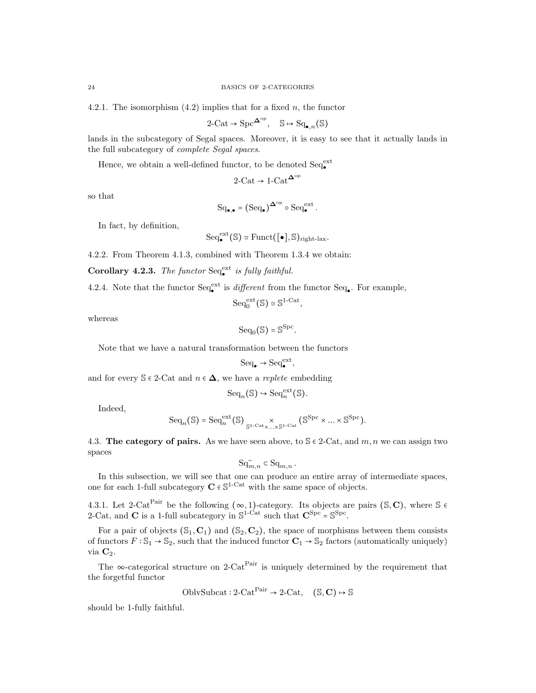4.2.1. The isomorphism  $(4.2)$  implies that for a fixed n, the functor

$$
2\text{-Cat} \to \text{Spc}^{\mathbf{\Delta}^{\text{op}}}, \quad \mathbb{S} \mapsto \text{Sq}_{\bullet,n}(\mathbb{S})
$$

lands in the subcategory of Segal spaces. Moreover, it is easy to see that it actually lands in the full subcategory of complete Segal spaces.

Hence, we obtain a well-defined functor, to be denoted  $\text{Seq}^\text{ext}_\bullet$ 

$$
2\text{-}\mathrm{Cat} \to 1\text{-}\mathrm{Cat}^{\mathbf{\Delta}^\mathrm{op}}
$$

so that

$$
\mathrm{Sq}_{\bullet,\bullet} = (\mathrm{Seq}_{\bullet})^{\mathbf{\Delta}^{\mathrm{op}}} \circ \mathrm{Seq}_{\bullet}^{\mathrm{ext}}.
$$

In fact, by definition,

$$
\mathrm{Seq}_\bullet^{\mathrm{ext}}(\mathbb{S})\simeq \mathrm{Funct}([\bullet],\mathbb{S})_{\mathrm{right\text{-}lax}}.
$$

4.2.2. From Theorem 4.1.3, combined with Theorem 1.3.4 we obtain:

Corollary 4.2.3. The functor  $Seq_{\bullet}^{\text{ext}}$  is fully faithful.

4.2.4. Note that the functor  $\text{Seq}_{\bullet}^{\text{ext}}$  is *different* from the functor  $\text{Seq}_{\bullet}$ . For example,

 $Seq_0^{\text{ext}}(\mathbb{S}) \simeq \mathbb{S}^{1-\text{Cat}},$ 

whereas

$$
\mathrm{Seq}_0(\mathbb{S})=\mathbb{S}^{\mathrm{Spc}}.
$$

Note that we have a natural transformation between the functors

$$
\mathrm{Seq}_\bullet \to \mathrm{Seq}_\bullet^{\mathrm{ext}},
$$

and for every  $\mathbb{S} \in 2$ -Cat and  $n \in \Delta$ , we have a *replete* embedding

$$
\mathrm{Seq}_n(\mathbb{S}) \hookrightarrow \mathrm{Seq}_n^{\mathrm{ext}}(\mathbb{S}).
$$

Indeed,

$$
\mathrm{Seq}_n(\mathbb{S})=\mathrm{Seq}_n^{\mathrm{ext}}(\mathbb{S})\underset{\mathbb{S}^{1\text{-}\mathrm{Cat}}\times\ldots\times\mathbb{S}^{1\text{-}\mathrm{Cat}}}{\times}(\mathbb{S}^{\mathrm{Spc}}\times\ldots\times\mathbb{S}^{\mathrm{Spc}}).
$$

4.3. The category of pairs. As we have seen above, to  $S \in 2$ -Cat, and  $m, n$  we can assign two spaces

$$
\mathsf{Sq}^{\sim}_{m,n} \subset \mathsf{Sq}_{m,n} \, .
$$

In this subsection, we will see that one can produce an entire array of intermediate spaces, one for each 1-full subcategory  $C \in \mathbb{S}^{1-\text{Cat}}$  with the same space of objects.

4.3.1. Let 2-Cat<sup>Pair</sup> be the following  $(\infty, 1)$ -category. Its objects are pairs (S, C), where S  $\epsilon$ 2-Cat, and **C** is a 1-full subcategory in  $\mathbb{S}^{1-Cat}$  such that  $\mathbf{C}^{\text{Spc}} = \mathbb{S}^{\text{Spc}}$ .

For a pair of objects  $(\mathbb{S}_1, \mathbb{C}_1)$  and  $(\mathbb{S}_2, \mathbb{C}_2)$ , the space of morphisms between them consists of functors  $F : \mathbb{S}_1 \to \mathbb{S}_2$ , such that the induced functor  $\mathbb{C}_1 \to \mathbb{S}_2$  factors (automatically uniquely) via  $C_2$ .

The ∞-categorical structure on 2-Cat<sup>Pair</sup> is uniquely determined by the requirement that the forgetful functor

$$
OblvSubcat: 2-CatPair \rightarrow 2-Cat, (S, C) \rightarrow S
$$

should be 1-fully faithful.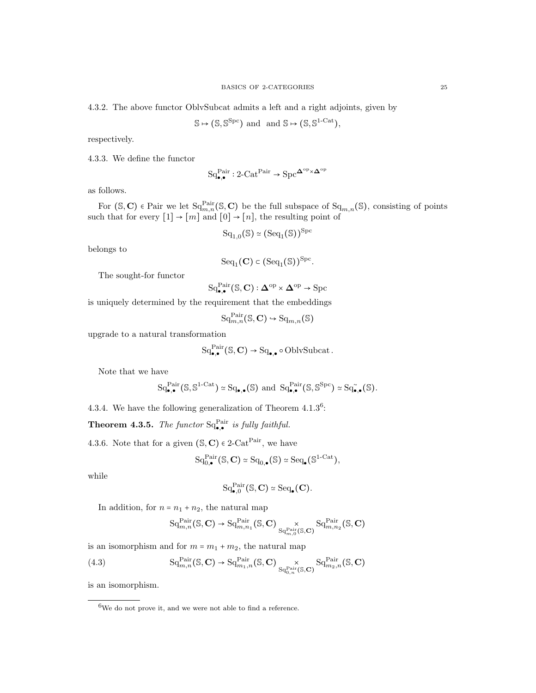4.3.2. The above functor OblvSubcat admits a left and a right adjoints, given by

$$
\mathbb{S} \mapsto (\mathbb{S}, \mathbb{S}^{\mathrm{Spc}}) \text{ and } \text{ and } \mathbb{S} \mapsto (\mathbb{S}, \mathbb{S}^{1-\mathrm{Cat}}),
$$

respectively.

4.3.3. We define the functor

$$
\mathrm{Sq}_{\bullet,\bullet}^{\mathrm{Pair}}: 2\text{-}\mathrm{Cat}^{\mathrm{Pair}} \to \mathrm{Spc}^{\mathbf{\Delta}^{\mathrm{op}} \times \mathbf{\Delta}^{\mathrm{op}}}
$$

as follows.

For  $(S, C)$   $\in$  Pair we let  $Sq_{m,n}^{\text{Pair}}(S, C)$  be the full subspace of  $Sq_{m,n}(S)$ , consisting of points such that for every  $[1] \rightarrow [m]$  and  $[0] \rightarrow [n]$ , the resulting point of

$$
\mathrm{Sq}_{1,0}(\mathbb{S}) \simeq (\mathrm{Seq}_1(\mathbb{S}))^{\mathrm{Spc}}
$$

belongs to

$$
\mathrm{Seq}_1(\mathbf{C}) \subset (\mathrm{Seq}_1(\mathbb{S}))^{\mathrm{Spc}}.
$$

The sought-for functor

$$
\mathrm{Sq}^{\mathrm{Pair}}_{\bullet,\bullet}(\mathbb{S},\mathbf{C}): \mathbf{\Delta}^{\mathrm{op}} \times \mathbf{\Delta}^{\mathrm{op}} \to \mathrm{Spc}
$$

is uniquely determined by the requirement that the embeddings

 $\mathrm{Sq}_{m,n}^{\mathrm{Pair}}(\mathbb{S},\mathbf{C}) \hookrightarrow \mathrm{Sq}_{m,n}(\mathbb{S})$ 

upgrade to a natural transformation

$$
\mathrm{Sq}^{\mathrm{Pair}}_{\bullet,\bullet}(\mathbb{S},\mathbf{C}) \to \mathrm{Sq}_{\bullet,\bullet} \circ \mathrm{OblvSubcat}\,.
$$

Note that we have

$$
\mathrm{Sq}^{\mathrm{Pair}}_{\bullet,\bullet}(\mathbb{S},\mathbb{S}^{1-\mathrm{Cat}})\simeq \mathrm{Sq}_{\bullet,\bullet}(\mathbb{S})\ \mathrm{and}\ \mathrm{Sq}^{\mathrm{Pair}}_{\bullet,\bullet}(\mathbb{S},\mathbb{S}^{\mathrm{Spc}})\simeq \mathrm{Sq}^{\sim}_{\bullet,\bullet}(\mathbb{S}).
$$

4.3.4. We have the following generalization of Theorem  $4.1.3<sup>6</sup>$ :

**Theorem 4.3.5.** The functor  $Sq_{\bullet,\bullet}^{\text{Pair}}$  is fully faithful.

4.3.6. Note that for a given  $(S, C) \in 2\text{-Cat}^{\text{Pair}}$ , we have

$$
\mathrm{Sq}_{0,\bullet}^{\mathrm{Pair}}(\mathbb{S}, \mathbf{C}) \simeq \mathrm{Sq}_{0,\bullet}(\mathbb{S}) \simeq \mathrm{Seq}_{\bullet}(\mathbb{S}^{1-\mathrm{Cat}}),
$$

while

$$
\mathrm{Sq}^{\mathrm{Pair}}_{\bullet,0}(\mathbb{S},\mathbf{C})\simeq \mathrm{Seq}_\bullet(\mathbf{C}).
$$

In addition, for  $n = n_1 + n_2$ , the natural map

$$
\mathrm{Sq}^{\mathrm{Pair}}_{m,n}(\mathbb{S}, \mathbf{C}) \rightarrow \mathrm{Sq}^{\mathrm{Pair}}_{m,n_1}(\mathbb{S}, \mathbf{C}) \underset{\mathrm{Sq}^{\mathrm{Pair}}_{m,0}(\mathbb{S}, \mathbf{C})}{\times} \mathrm{Sq}^{\mathrm{Pair}}_{m,n_2}(\mathbb{S}, \mathbf{C})
$$

is an isomorphism and for  $m = m_1 + m_2$ , the natural map

(4.3) 
$$
\mathrm{Sq}_{m,n}^{\mathrm{Pair}}(\mathbb{S}, \mathbf{C}) \to \mathrm{Sq}_{m_1,n}^{\mathrm{Pair}}(\mathbb{S}, \mathbf{C}) \underset{\mathrm{Sq}_{0,n}^{\mathrm{Pair}}(\mathbb{S}, \mathbf{C})}{\times} \mathrm{Sq}_{m_2,n}^{\mathrm{Pair}}(\mathbb{S}, \mathbf{C})
$$

is an isomorphism.

<sup>6</sup>We do not prove it, and we were not able to find a reference.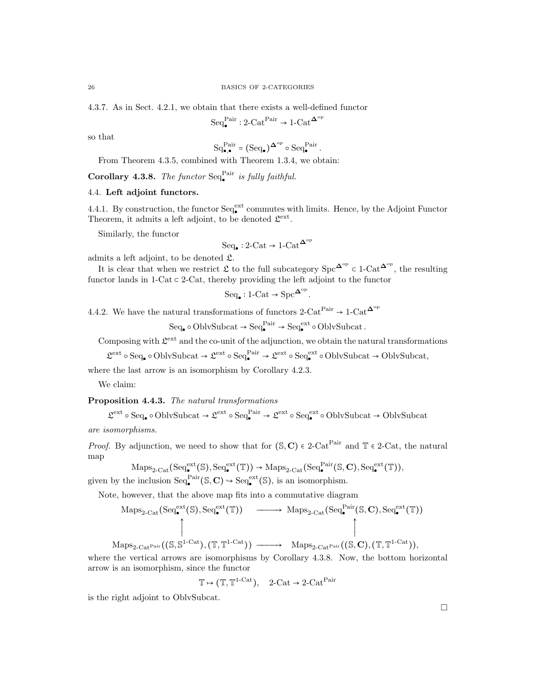4.3.7. As in Sect. 4.2.1, we obtain that there exists a well-defined functor

$$
\mathrm{Seq}_\bullet^\mathrm{Pair}: 2\text{-}\mathrm{Cat}^\mathrm{Pair} \to 1\text{-}\mathrm{Cat}^{\mathbf{\Delta}^\mathrm{op}}
$$

so that

$$
\mathrm{Sq}_{\bullet,\bullet}^{\mathrm{Pair}} = \bigl(\mathrm{Seq}_{\bullet}\bigr)^{\mathbf{\Delta}^{\mathrm{op}}} \circ \mathrm{Seq}_{\bullet}^{\mathrm{Pair}}\,.
$$

From Theorem 4.3.5, combined with Theorem 1.3.4, we obtain:

Corollary 4.3.8. The functor  $Seq_{\bullet}^{Pair}$  is fully faithful.

# 4.4. Left adjoint functors.

4.4.1. By construction, the functor  $\text{Seq}_{\bullet}^{\text{ext}}$  commutes with limits. Hence, by the Adjoint Functor Theorem, it admits a left adjoint, to be denoted  $\mathcal{L}^{\text{ext}}$ .

Similarly, the functor

$$
\text{Seq}_{\bullet}: 2\text{-}\mathrm{Cat} \to 1\text{-}\mathrm{Cat}^{\mathbf{\Delta}^{\mathrm{op}}}
$$

admits a left adjoint, to be denoted L.

It is clear that when we restrict  $\mathfrak L$  to the full subcategory  $\text{Spc}^{\mathbf{\Delta}^{\text{op}}} \subset 1\text{-}\text{Cat}^{\mathbf{\Delta}^{\text{op}}}$ , the resulting functor lands in  $1$ -Cat  $\subset$  2-Cat, thereby providing the left adjoint to the functor

$$
\mathrm{Seq}_\bullet : 1\text{-}\mathrm{Cat} \to \mathrm{Spc}^{\mathbf{\Delta}^\mathrm{op}}
$$

.

4.4.2. We have the natural transformations of functors 2-Cat<sup>Pair</sup> → 1-Cat<sup> $\Delta^{\rm op}$ </sup>

$$
\mathrm{Seq}_{\bullet} \circ \mathrm{OblvSubcat} \to \mathrm{Seq}_{\bullet}^{\mathrm{Pair}} \to \mathrm{Seq}_{\bullet}^{\mathrm{ext}} \circ \mathrm{OblvSubcat}.
$$

Composing with  $\mathcal{L}^{\text{ext}}$  and the co-unit of the adjunction, we obtain the natural transformations

 $\mathfrak{L}^{\text{ext}} \circ \text{Seq}_{\bullet} \circ \text{OblvSubcat} \rightarrow \mathfrak{L}^{\text{ext}} \circ \text{Seq}_{\bullet}^{\text{Pair}} \rightarrow \mathfrak{L}^{\text{ext}} \circ \text{Sel}_{\bullet}^{\text{ext}} \circ \text{OblvSubcat} \rightarrow \text{OblvSubcat},$ 

where the last arrow is an isomorphism by Corollary 4.2.3.

We claim:

# Proposition 4.4.3. The natural transformations

 $\mathfrak{L}^{\mathrm{ext}}\circ \mathrm{Seq}_\bullet\circ \mathrm{OblvSubcat}\to \mathfrak{L}^{\mathrm{ext}}\circ \mathrm{Seq}_\bullet^{\mathrm{Pair}}\to \mathfrak{L}^{\mathrm{ext}}\circ \mathrm{Sel}_\bullet^{\mathrm{ext}}\circ \mathrm{OblvSubcat}\to \mathrm{OblvSubcat}$ are isomorphisms.

*Proof.* By adjunction, we need to show that for  $(S, C) \in 2$ -Cat<sup>Pair</sup> and T  $\in 2$ -Cat, the natural map

$$
\mathrm{Maps}_{2\text{-}\mathrm{Cat}}(\mathrm{Seq}_{\bullet}^{\mathrm{ext}}(\mathbb{S}), \mathrm{Seq}_{\bullet}^{\mathrm{ext}}(\mathbb{T})) \to \mathrm{Maps}_{2\text{-}\mathrm{Cat}}(\mathrm{Seq}_{\bullet}^{\mathrm{Pair}}(\mathbb{S}, \mathbf{C}), \mathrm{Seq}_{\bullet}^{\mathrm{ext}}(\mathbb{T})),
$$

given by the inclusion  $\text{Seq}_{\bullet}^{\text{Pair}}(\mathbb{S}, \mathbb{C}) \hookrightarrow \text{Seq}_{\bullet}^{\text{ext}}(\mathbb{S})$ , is an isomorphism.

Note, however, that the above map fits into a commutative diagram

$$
\text{Maps}_{2\text{-}\text{Cat}}(\text{Seq}_{\bullet}^{\text{ext}}(\mathbb{S}), \text{Seq}_{\bullet}^{\text{ext}}(\mathbb{T})) \longrightarrow \text{Maps}_{2\text{-}\text{Cat}}(\text{Seq}_{\bullet}^{\text{Pair}}(\mathbb{S}, \mathbf{C}), \text{Seq}_{\bullet}^{\text{ext}}(\mathbb{T}))
$$

 $\mathrm{Maps}_{2\text{-}\mathrm{Cat}^{\mathrm{Pair}}}((\mathbb{S}, \mathbb{S}^{1\text{-}\mathrm{Cat}}), (\mathbb{T}, \mathbb{T}^{1\text{-}\mathrm{Cat}})) \longrightarrow \mathrm{Maps}_{2\text{-}\mathrm{Cat}^{\mathrm{Pair}}}((\mathbb{S}, \mathbf{C}), (\mathbb{T}, \mathbb{T}^{1\text{-}\mathrm{Cat}})),$ where the vertical arrows are isomorphisms by Corollary 4.3.8. Now, the bottom horizontal

arrow is an isomorphism, since the functor

 $\mathbb{T} \mapsto (\mathbb{T}, \mathbb{T}^{1-\text{Cat}}), \quad 2-\text{Cat} \to 2-\text{Cat}^{\text{Pair}}$ 

is the right adjoint to OblvSubcat.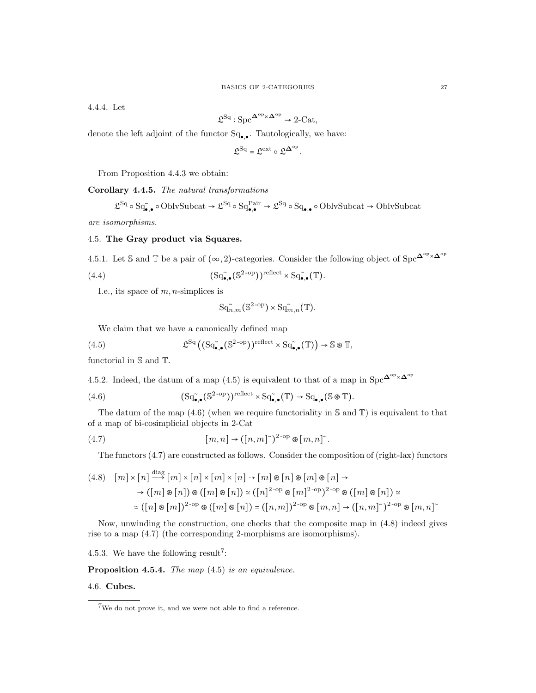4.4.4. Let

$$
\mathfrak{L}^{\mathrm{Sq}}:\mathrm{Spc}^{\mathbf{\Delta}^{\mathrm{op}}\times\mathbf{\Delta}^{\mathrm{op}}}\rightarrow 2\text{-}\mathrm{Cat},
$$

denote the left adjoint of the functor  $Sq_{\bullet,\bullet}$ . Tautologically, we have:

$$
\mathfrak{L}^{\mathrm{Sq}} = \mathfrak{L}^{\mathrm{ext}} \circ \mathfrak{L}^{\mathbf{\Delta}^{\mathrm{op}}}.
$$

From Proposition 4.4.3 we obtain:

Corollary 4.4.5. The natural transformations

$$
\mathfrak{L}^{\mathrm{Sq}} \circ \mathrm{Sq}_{\bullet,\bullet}^{\sim} \circ \mathrm{OblvSubcat} \to \mathfrak{L}^{\mathrm{Sq}} \circ \mathrm{Sq}_{\bullet,\bullet}^{\mathrm{Pair}} \to \mathfrak{L}^{\mathrm{Sq}} \circ \mathrm{Sq}_{\bullet,\bullet} \circ \mathrm{OblvSubcat} \to \mathrm{OblvSubcat}
$$

are isomorphisms.

## 4.5. The Gray product via Squares.

4.5.1. Let S and T be a pair of  $(\infty, 2)$ -categories. Consider the following object of Spc<sup> $\Delta^{\circ p} \times \Delta^{\circ p}$ </sup>

(4.4) 
$$
(\mathrm{Sq}_{\bullet,\bullet}^{\sim}(\mathbb{S}^{2\text{-op}}))^{\text{reflect}} \times \mathrm{Sq}_{\bullet,\bullet}^{\sim}(\mathbb{T}).
$$

I.e., its space of  $m$ , *n*-simplices is

$$
\mathrm{Sq}^{\sim}_{n,m}(\mathbb{S}^{2\text{-op}})\times \mathrm{Sq}^{\sim}_{m,n}(\mathbb{T}).
$$

We claim that we have a canonically defined map

(4.5) 
$$
\mathfrak{L}^{\mathrm{Sq}}\left( \left( \mathrm{Sq}_{\bullet,\bullet}^{\sim}(\mathbb{S}^{2\text{-op}}) \right) ^{\mathrm{reflect}} \times \mathrm{Sq}_{\bullet,\bullet}^{\sim}(\mathbb{T}) \right) \to \mathbb{S} \circ \mathbb{T},
$$

functorial in S and T.

4.5.2. Indeed, the datum of a map (4.5) is equivalent to that of a map in  $\text{Spc}^{\mathbf{\Delta}^{\text{op}}\times\mathbf{\Delta}^{\text{op}}}$ 

(4.6) 
$$
(\mathrm{Sq}^{\widetilde{\bullet}},\mathbf{C}^{\mathrm{2-op}}))^{\mathrm{reflect}} \times \mathrm{Sq}^{\widetilde{\bullet}},\mathbf{C}(\mathbb{T}) \to \mathrm{Sq}_{\bullet,\bullet}(\mathbb{S} \otimes \mathbb{T}).
$$

The datum of the map  $(4.6)$  (when we require functoriality in S and T) is equivalent to that of a map of bi-cosimplicial objects in 2-Cat

(4.7) 
$$
[m,n] \to ([n,m]^\sim)^{2\text{-op}} \otimes [m,n]^\sim.
$$

The functors (4.7) are constructed as follows. Consider the composition of (right-lax) functors

$$
(4.8) \quad [m] \times [n] \stackrel{\text{diag}}{\longrightarrow} [m] \times [n] \times [n] \times [m] \times [n] \rightarrow [m] \otimes [n] \otimes [m] \otimes [n] \rightarrow
$$

$$
\rightarrow ([m] \otimes [n]) \otimes ([m] \otimes [n]) \simeq ([n]^{2-\text{op}} \otimes [m]^{2-\text{op}} \otimes ([m] \otimes [n]) \simeq
$$

$$
\simeq ([n] \otimes [m])^{2-\text{op}} \otimes ([m] \otimes [n]) = ([n, m])^{2-\text{op}} \otimes [m, n] \rightarrow ([n, m])^{2-\text{op}} \otimes [m, n] \simeq
$$

Now, unwinding the construction, one checks that the composite map in (4.8) indeed gives rise to a map (4.7) (the corresponding 2-morphisms are isomorphisms).

4.5.3. We have the following result<sup>7</sup>:

 $\ddot{\phantom{a}}$ 

Proposition 4.5.4. The map  $(4.5)$  is an equivalence.

### 4.6. Cubes.

<sup>7</sup>We do not prove it, and we were not able to find a reference.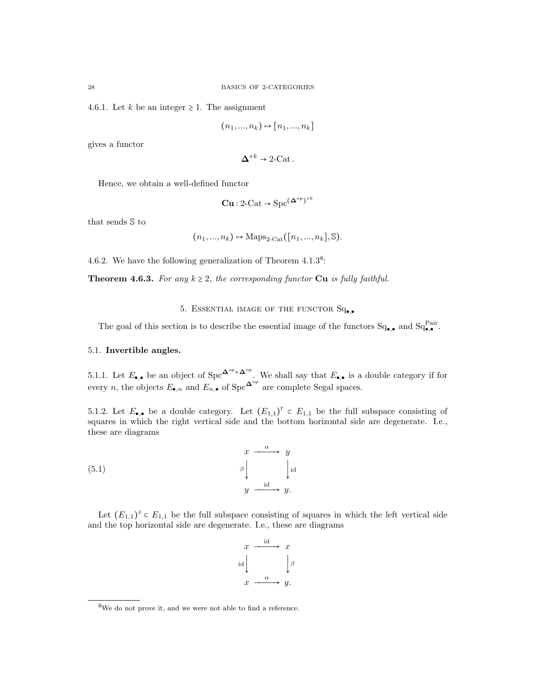4.6.1. Let k be an integer  $\geq$  1. The assignment

$$
(n_1, ..., n_k) \mapsto [n_1, ..., n_k]
$$

gives a functor

$$
\Delta^{*k} \to 2\text{-Cat}.
$$

Hence, we obtain a well-defined functor

$$
\mathbf{Cu}: 2\text{-Cat} \to \text{Spc}^{(\mathbf{\Delta}^{\text{op}})^{\times k}}
$$

that sends S to

$$
(n_1, ..., n_k) \rightarrow \text{Maps}_{2\text{-Cat}}([n_1, ..., n_k], \mathbb{S}).
$$

4.6.2. We have the following generalization of Theorem  $4.1.3<sup>8</sup>$ :

**Theorem 4.6.3.** For any  $k \geq 2$ , the corresponding functor **Cu** is fully faithful.

# 5. ESSENTIAL IMAGE OF THE FUNCTOR  $Sq_{\bullet,\bullet}$

The goal of this section is to describe the essential image of the functors  $Sq_{\bullet,\bullet}$  and  $Sq_{\bullet,\bullet}^{Pair}$ .

## 5.1. Invertible angles.

5.1.1. Let  $E_{\bullet,\bullet}$  be an object of Spc<sup> $\Delta^{\rm op}\times\Delta^{\rm op}$ </sup>. We shall say that  $E_{\bullet,\bullet}$  is a double category if for every *n*, the objects  $E_{\bullet,n}$  and  $E_{n,\bullet}$  of Spc<sup> $\Delta^{\circ p}$ </sup> are complete Segal spaces.

5.1.2. Let  $E_{\bullet,\bullet}$  be a double category. Let  $(E_{1,1})^{\dagger} \subset E_{1,1}$  be the full subspace consisting of squares in which the right vertical side and the bottom horizontal side are degenerate. I.e., these are diagrams

(5.1) 
$$
\begin{array}{ccc}\nx & \xrightarrow{\alpha} & y \\
\downarrow^{\text{id}} & & \downarrow^{\text{id}} \\
y & \xrightarrow{\text{id}} & y.\n\end{array}
$$

Let  $(E_{1,1})^{\perp} \subset E_{1,1}$  be the full subspace consisting of squares in which the left vertical side and the top horizontal side are degenerate. I.e., these are diagrams

$$
x \xrightarrow{\text{id}} x
$$
\n
$$
\downarrow \text{id}
$$
\n
$$
x \xrightarrow{\alpha} y.
$$

<sup>8</sup>We do not prove it, and we were not able to find a reference.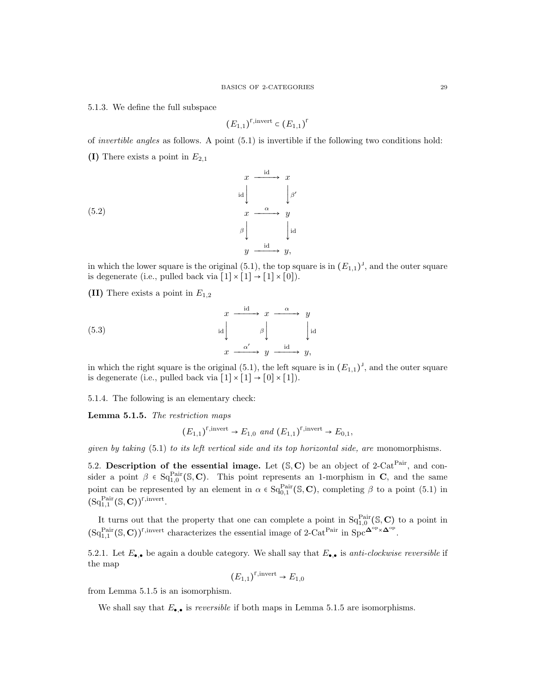5.1.3. We define the full subspace

$$
(E_{1,1})^{\text{r,invert}} \subset (E_{1,1})^{\text{r}}
$$

of invertible angles as follows. A point (5.1) is invertible if the following two conditions hold:

(I) There exists a point in  $E_{2,1}$ 

(5.2)  

$$
\begin{array}{ccc}\n & x & \xrightarrow{\text{id}} & x \\
 & \text{id} & \downarrow \beta' \\
 & x & \xrightarrow{\alpha} & y \\
 & \beta & \downarrow \text{id} \\
 & y & \xrightarrow{\text{id}} & y,\n\end{array}
$$

in which the lower square is the original  $(5.1)$ , the top square is in  $(E_{1,1})^{\perp}$ , and the outer square is degenerate (i.e., pulled back via  $[1] \times [1] \rightarrow [1] \times [0]$ ).

(II) There exists a point in  $E_{1,2}$ 

(5.3) 
$$
\begin{array}{ccc}\n & x & \xrightarrow{\text{id}} & x & \xrightarrow{\alpha} & y \\
 & \text{id} & & \beta & \text{Id} \\
 & & x & \xrightarrow{\alpha'} & y & \xrightarrow{\text{id}} & y,\n\end{array}
$$

in which the right square is the original  $(5.1)$ , the left square is in  $(E_{1,1})^{\perp}$ , and the outer square is degenerate (i.e., pulled back via  $[1] \times [1] \rightarrow [0] \times [1]$ ).

5.1.4. The following is an elementary check:

Lemma 5.1.5. The restriction maps

$$
(E_{1,1})^{\text{r,invert}} \to E_{1,0} \text{ and } (E_{1,1})^{\text{r,invert}} \to E_{0,1},
$$

given by taking  $(5.1)$  to its left vertical side and its top horizontal side, are monomorphisms.

5.2. Description of the essential image. Let  $(S, C)$  be an object of 2-Cat<sup>Pair</sup>, and consider a point  $\beta \in \mathrm{Sq}_{1,0}^{\mathrm{Pair}}(\mathbb{S},\mathbb{C})$ . This point represents an 1-morphism in C, and the same point can be represented by an element in  $\alpha \in \text{Sq}_{0,1}^{\text{Pair}}(\mathbb{S}, \mathbb{C})$ , completing  $\beta$  to a point (5.1) in  $(\mathrm{Sq}^{\mathrm{Pair}}_{1,1}(\mathbb{S}, \mathbf{C}))^{\Gamma, \mathrm{invert}}.$ 

It turns out that the property that one can complete a point in  $Sq_{1,0}^{Pair}(\mathbb{S}, \mathbb{C})$  to a point in  $(\mathrm{Sq}^{\mathrm{Pair}}_{1,1}(\mathbb{S}, \mathbf{C}))^{\Gamma, \mathrm{invert}}$  characterizes the essential image of 2-Cat<sup>Pair</sup> in  $\mathrm{Spc}^{\mathbf{\Delta}^{\mathrm{op}} \times \mathbf{\Delta}^{\mathrm{op}}}.$ 

5.2.1. Let  $E_{\bullet,\bullet}$  be again a double category. We shall say that  $E_{\bullet,\bullet}$  is anti-clockwise reversible if the map

$$
(E_{1,1})^{\text{F,invert}} \to E_{1,0}
$$

from Lemma 5.1.5 is an isomorphism.

We shall say that  $E_{\bullet,\bullet}$  is *reversible* if both maps in Lemma 5.1.5 are isomorphisms.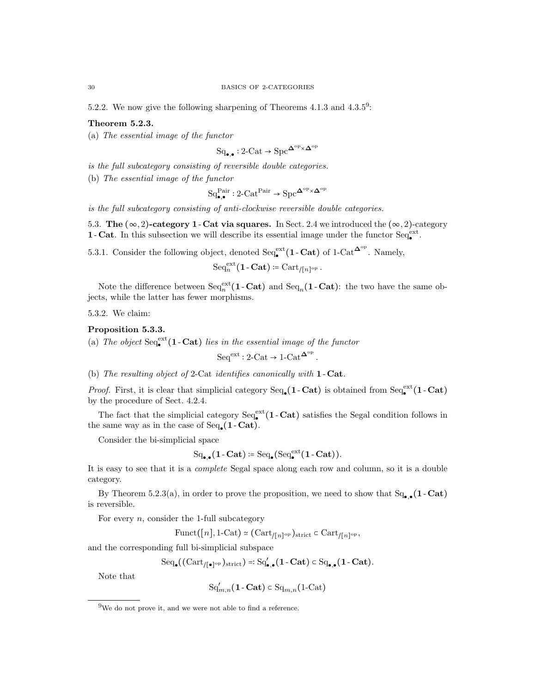5.2.2. We now give the following sharpening of Theorems  $4.1.3$  and  $4.3.5^9$ :

# Theorem 5.2.3.

(a) The essential image of the functor

 $Sq_{\bullet,\bullet}: 2\text{-Cat} \to \text{Spc}^{\mathbf{\Delta}^{\text{op}} \times \mathbf{\Delta}^{\text{op}}}$ 

is the full subcategory consisting of reversible double categories.

(b) The essential image of the functor

 $Sq_{\bullet,\bullet}^{Pair} : 2\text{-Cat}^{Pair} \rightarrow \text{Spc}^{\mathbf{\Delta}^{op} \times \mathbf{\Delta}^{op}}$ 

is the full subcategory consisting of anti-clockwise reversible double categories.

5.3. The  $(\infty, 2)$ -category 1 - Cat via squares. In Sect. 2.4 we introduced the  $(\infty, 2)$ -category 1-Cat. In this subsection we will describe its essential image under the functor  $Seq_{\bullet}^{\text{ext}}$ .

5.3.1. Consider the following object, denoted  $\text{Seq}_{\bullet}^{\text{ext}}(1-\text{Cat})$  of 1-Cat<sup> $\Delta^{\text{op}}$ </sup>. Namely,

$$
\mathrm{Seq}^{\mathrm{ext}}_n(\mathbf{1}\text{-}\mathbf{Cat})\coloneqq \mathrm{Cart}_{/[n]^{\mathrm{op}}}.
$$

Note the difference between  $\text{Seq}_n^{\text{ext}}(1-\text{Cat})$  and  $\text{Seq}_n(1-\text{Cat})$ : the two have the same objects, while the latter has fewer morphisms.

5.3.2. We claim:

#### Proposition 5.3.3.

(a) The object  $\text{Seq}_{\bullet}^{\text{ext}}(1-\text{Cat})$  lies in the essential image of the functor

$$
\mathrm{Seq}^\mathrm{ext}: 2\text{-}\mathrm{Cat} \to 1\text{-}\mathrm{Cat}^{\mathbf{\Delta}^\mathrm{op}}
$$

.

(b) The resulting object of 2-Cat identifies canonically with 1 - Cat.

*Proof.* First, it is clear that simplicial category  $\text{Seq}_{\bullet}(1-\text{Cat})$  is obtained from  $\text{Seq}_{\bullet}^{\text{ext}}(1-\text{Cat})$ by the procedure of Sect. 4.2.4.

The fact that the simplicial category  $\text{Seq}_{\bullet}^{\text{ext}}(1-\text{Cat})$  satisfies the Segal condition follows in the same way as in the case of  $Seq_{\bullet}(1 - \text{Cat}).$ 

Consider the bi-simplicial space

$$
\mathrm{Sq}_{\bullet,\bullet}(1\text{-}\mathbf{Cat}):=\mathrm{Seq}_{\bullet}(\mathrm{Seq}^{\mathrm{ext}}_{\bullet}(1\text{-}\mathbf{Cat})).
$$

It is easy to see that it is a complete Segal space along each row and column, so it is a double category.

By Theorem 5.2.3(a), in order to prove the proposition, we need to show that  $Sq_{\bullet,\bullet}(1-\text{Cat})$ is reversible.

For every  $n$ , consider the 1-full subcategory

 $\text{Funct}([n], 1\text{-}\text{Cat}) \simeq (\text{Cart}_{/[n]^{\text{op}}})_{\text{strict}} \subset \text{Cart}_{/[n]^{\text{op}}},$ 

and the corresponding full bi-simplicial subspace

 $\text{Seq}_{\bullet}((\text{Cart}_{/[\bullet]^{\text{op}}})_{\text{strict}}) =: \text{Sq}'_{\bullet,\bullet}(1-\textbf{Cat}) \subset \text{Sq}_{\bullet,\bullet}(1-\textbf{Cat}).$ 

Note that

$$
\mathrm{Sq}'_{m,n}(\mathbf{1}\text{-}\mathbf{Cat}) \subset \mathrm{Sq}_{m,n}(\mathbf{1}\text{-}\mathrm{Cat})
$$

<sup>9</sup>We do not prove it, and we were not able to find a reference.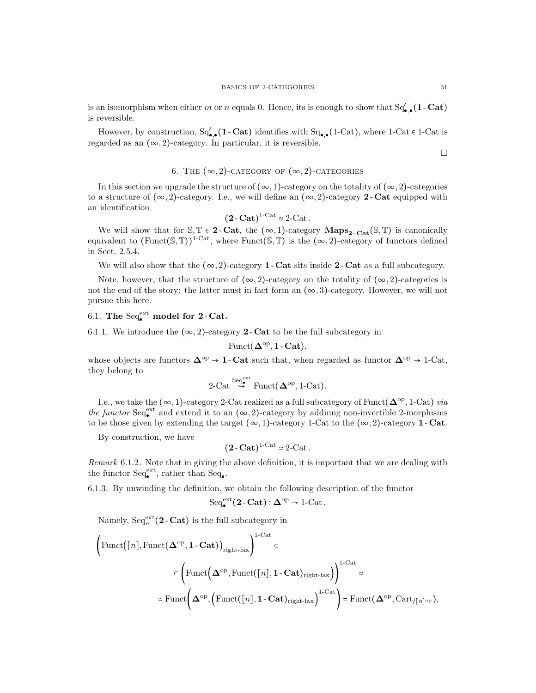is an isomorphism when either m or n equals 0. Hence, its is enough to show that  $Sq'_{\bullet,\bullet}(1-\text{Cat})$ is reversible.

However, by construction,  $Sq'_{\bullet,\bullet}(1-\text{Cat})$  identifies with  $Sq_{\bullet,\bullet}(1-\text{Cat})$ , where  $1-\text{Cat} \in 1-\text{Cat}$  is regarded as an  $(\infty, 2)$ -category. In particular, it is reversible.

 $\Box$ 

# 6. THE  $(\infty, 2)$ -CATEGORY OF  $(\infty, 2)$ -CATEGORIES

In this section we upgrade the structure of  $(\infty, 1)$ -category on the totality of  $(\infty, 2)$ -categories to a structure of  $(\infty, 2)$ -category. I.e., we will define an  $(\infty, 2)$ -category 2 - Cat equipped with an identification

$$
(2-Cat)^{1-Cat} \simeq 2-Cat.
$$

We will show that for  $\mathbb{S}, \mathbb{T} \in \mathbf{2}$ -Cat, the  $(\infty, 1)$ -category  $\mathbf{Maps}_{2-\mathbf{Cat}}(\mathbb{S}, \mathbb{T})$  is canonically equivalent to  $(\text{Funct}(\mathbb{S},\mathbb{T}))^{1-\text{Cat}},$  where  $\text{Funct}(\mathbb{S},\mathbb{T})$  is the  $(\infty,2)$ -category of functors defined in Sect. 2.5.4.

We will also show that the  $(\infty, 2)$ -category **1** - Cat sits inside 2 - Cat as a full subcategory.

Note, however, that the structure of  $(\infty, 2)$ -category on the totality of  $(\infty, 2)$ -categories is not the end of the story: the latter must in fact form an  $(\infty, 3)$ -category. However, we will not pursue this here.

# 6.1. The  $Seq_{\bullet}^{\text{ext}}$  model for 2-Cat.

6.1.1. We introduce the  $(\infty, 2)$ -category 2-Cat to be the full subcategory in

$$
\mathrm{Funct}(\Delta^{\mathrm{op}},\mathbf{1}\text{-}\mathbf{Cat}),
$$

whose objects are functors  $\Delta^{\text{op}} \to 1$ -Cat such that, when regarded as functor  $\Delta^{\text{op}} \to 1$ -Cat, they belong to

$$
\text{2-Cat} \overset{\text{Seq}^{\text{ext}}_{\bullet}}{\hookrightarrow} \text{Funct}(\mathbf{\Delta}^{\text{op}}, \text{1-Cat}).
$$

I.e., we take the  $(\infty, 1)$ -category 2-Cat realized as a full subcategory of Funct $(\mathbf{\Delta}^{\text{op}}, 1\text{-Cat})$  via the functor  $\text{Seq}_{\bullet}^{\text{ext}}$  and extend it to an  $(\infty, 2)$ -category by addinng non-invertible 2-morphisms to be those given by extending the target  $(\infty, 1)$ -category 1-Cat to the  $(\infty, 2)$ -category 1-Cat.

By construction, we have

$$
(2-Cat)^{1-Cat} \simeq 2-Cat.
$$

Remark 6.1.2. Note that in giving the above definition, it is important that we are dealing with the functor  $\text{Seq}_{\bullet}^{\text{ext}}$ , rather than  $\text{Seq}_{\bullet}$ .

6.1.3. By unwinding the definition, we obtain the following description of the functor

$$
\mathrm{Seq}_\bullet^\mathrm{ext}\bigl(2\operatorname{-}\mathbf{Cat}\bigr):\Delta^\mathrm{op}\to\mathrm{1}\mathrm{-}\mathrm{Cat}\,.
$$

Namely,  $\text{Seq}_n^{\text{ext}}(2 \text{-}\text{Cat})$  is the full subcategory in

$$
\left(\text{Funct}([n], \text{Funct}(\Delta^{\text{op}}, 1 - \text{Cat}))_{\text{right-lax}}\right)^{1-\text{Cat}} \subset
$$
\n
$$
\subset \left(\text{Funct}(\Delta^{\text{op}}, \text{Funct}([n], 1 - \text{Cat})_{\text{right-lax}})\right)^{1-\text{Cat}} \simeq
$$
\n
$$
\simeq \text{Funct}(\Delta^{\text{op}}, \left(\text{Funct}([n], 1 - \text{Cat})_{\text{right-lax}}\right)^{1-\text{Cat}}) = \text{Funct}(\Delta^{\text{op}}, \text{Cart}_{/[n]^{\text{op}}}),
$$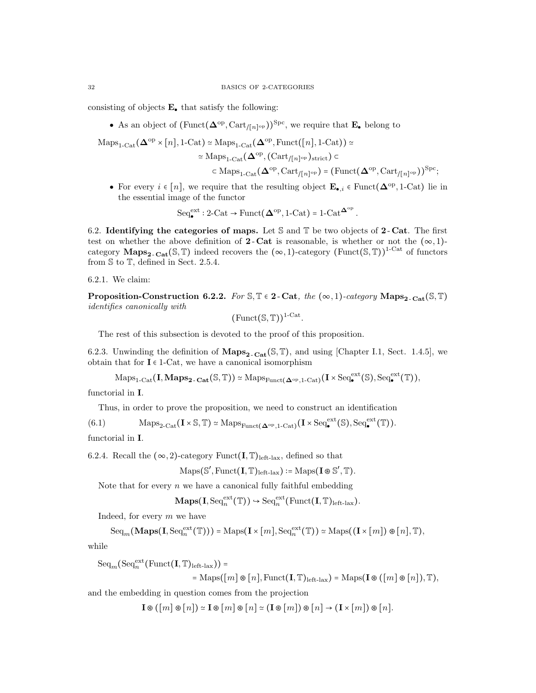consisting of objects  $E_{\bullet}$  that satisfy the following:

• As an object of  $(\text{Funct}(\mathbf{\Delta}^{\text{op}}, \text{Cart}_{/[n]^{\text{op}}}))^{\text{Spc}}$ , we require that  $\mathbf{E}_{\bullet}$  belong to

 $\text{Maps}_{1\text{-}\text{Cat}}(\mathbf{\Delta}^{\text{op}} \times [n], 1\text{-}\text{Cat}) \simeq \text{Maps}_{1\text{-}\text{Cat}}(\mathbf{\Delta}^{\text{op}}, \text{Funct}([n], 1\text{-}\text{Cat})) \simeq$ 

$$
\simeq \mathrm{Maps}_{1\text{-}\mathrm{Cat}}(\mathbf{\Delta}^{\mathrm{op}}, (\mathrm{Cart}_{/[n]^{\mathrm{op}}})_{\mathrm{strict}}) \subset
$$

$$
\subset \mathrm{Maps}_{1\text{-}\mathrm{Cat}}\big(\mathbf{\Delta}^{\mathrm{op}}, \mathrm{Cart}_{/[n]^{\mathrm{op}}}\big) = \big(\mathrm{Funct}(\mathbf{\Delta}^{\mathrm{op}}, \mathrm{Cart}_{/[n]^{\mathrm{op}}})\big)^{\mathrm{Spc}};
$$

• For every  $i \in [n]$ , we require that the resulting object  $\mathbf{E}_{\bullet,i} \in \text{Funct}(\mathbf{\Delta}^{\text{op}}, 1\text{-}\text{Cat})$  lie in the essential image of the functor

$$
\mathrm{Seq}_\bullet^\mathrm{ext}: 2\text{-}\mathrm{Cat}\to \mathrm{Funct}(\mathbf{\Delta}^\mathrm{op},\mathrm{1\text{-}Cat}) = 1\text{-}\mathrm{Cat}^{\mathbf{\Delta}^\mathrm{op}}.
$$

6.2. Identifying the categories of maps. Let  $S$  and  $T$  be two objects of 2-Cat. The first test on whether the above definition of **2**-Cat is reasonable, is whether or not the  $(\infty, 1)$ category Maps<sub>2</sub>. Cat(S, T) indeed recovers the  $(\infty, 1)$ -category (Funct(S, T))<sup>1-Cat</sup> of functors from S to T, defined in Sect. 2.5.4.

6.2.1. We claim:

Proposition-Construction 6.2.2. For  $\mathbb{S}, \mathbb{T} \in 2$ -Cat, the  $(\infty, 1)$ -category Maps<sub>2-Cat</sub>( $\mathbb{S}, \mathbb{T}$ ) identifies canonically with

 $(\text{Funct}(\mathbb{S}, \mathbb{T}))^{1-\text{Cat}}$ .

The rest of this subsection is devoted to the proof of this proposition.

6.2.3. Unwinding the definition of  $\mathbf{Maps}_{2-\mathbf{Cat}}(\mathbb{S}, \mathbb{T})$ , and using [Chapter I.1, Sect. 1.4.5], we obtain that for  $I \in 1$ -Cat, we have a canonical isomorphism

 $\mathrm{Maps}_{1\text{-}\mathrm{Cat}}(\mathbf{I}, \mathbf{Maps}_{2\text{-}\mathrm{Cat}}(\mathbb{S}, \mathbb{T})) \simeq \mathrm{Maps}_{\mathrm{Funct}(\mathbf{\Delta}^{\mathrm{op}}, 1\text{-}\mathrm{Cat})}(\mathbf{I} \times \mathrm{Seq}_{\bullet}^{\mathrm{ext}}(\mathbb{S}), \mathrm{Seq}_{\bullet}^{\mathrm{ext}}(\mathbb{T})),$ 

functorial in I.

Thus, in order to prove the proposition, we need to construct an identification

(6.1) 
$$
\operatorname{Maps}_{2\text{-}\mathrm{Cat}}(\mathbf{I} \times \mathbb{S}, \mathbb{T}) \simeq \operatorname{Maps}_{\mathrm{Funct}(\mathbf{\Delta}^{\mathrm{op}}, 1\text{-}\mathrm{Cat})}(\mathbf{I} \times \operatorname{Seq}_{\bullet}^{\mathrm{ext}}(\mathbb{S}), \operatorname{Seq}_{\bullet}^{\mathrm{ext}}(\mathbb{T})).
$$

functorial in I.

6.2.4. Recall the 
$$
(\infty, 2)
$$
-category  $Func(\mathbf{I}, \mathbb{T})_{left-ax}$ , defined so that

$$
\mathrm{Maps}(\mathbb{S}', \mathrm{Funct}(\mathbf{I}, \mathbb{T})_{\mathrm{left\text{-}lax}}) \coloneqq \mathrm{Maps}(\mathbf{I} \circledast \mathbb{S}', \mathbb{T}).
$$

Note that for every  $n$  we have a canonical fully faithful embedding

$$
\mathbf{Maps}(\mathbf{I}, \mathrm{Seq}_n^{\mathrm{ext}}(\mathbb{T})) \hookrightarrow \mathrm{Seq}_n^{\mathrm{ext}}(\mathrm{Funct}(\mathbf{I}, \mathbb{T})_{\mathrm{left-lax}}).
$$

Indeed, for every m we have

$$
\mathrm{Seq}_m(\mathbf{Maps}(\mathbf{I},\mathrm{Seq}_n^{\mathrm{ext}}(\mathbb{T}))) = \mathrm{Maps}(\mathbf{I} \times [m], \mathrm{Seq}_n^{\mathrm{ext}}(\mathbb{T})) \simeq \mathrm{Maps}((\mathbf{I} \times [m]) \otimes [n], \mathbb{T}),
$$

while

 $\operatorname{Seq}_m(\operatorname{Seq}_n^{\operatorname{ext}}(\operatorname{Funct}(\mathbf I, \mathbb T)_{\text{left-lax}}))$  =

$$
= \mathrm{Maps}([m] \otimes [n], \mathrm{Funct}(\mathbf{I}, \mathbb{T})_{\mathrm{left-lax}}) = \mathrm{Maps}(\mathbf{I} \otimes ([m] \otimes [n]), \mathbb{T}),
$$

and the embedding in question comes from the projection

 $I \otimes (m \otimes n) \simeq I \otimes m \otimes n \simeq (I \otimes m) \otimes n \rightarrow (I \times m) \otimes n$ .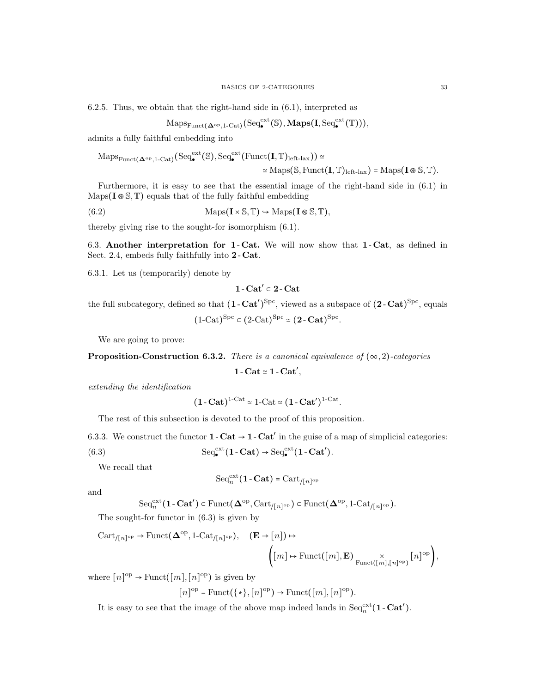6.2.5. Thus, we obtain that the right-hand side in (6.1), interpreted as

$$
\mathrm{Maps}_{\mathrm{Funct}(\mathbf{\Delta}^{\mathrm{op}},\mathbf{1}\text{-}\mathrm{Cat})}(\mathrm{Seq}^{\mathrm{ext}}_{\bullet}(\mathbb{S}),\mathbf{Maps}(\mathbf{I},\mathrm{Seq}^{\mathrm{ext}}_{\bullet}(\mathbb{T}))),
$$

admits a fully faithful embedding into

$$
\mathrm{Maps}_{\mathrm{Funct}(\mathbf{\Delta}^{\mathrm{op}},\mathbf{1}\text{-}\mathrm{Cat})}(\mathrm{Seq}^{\mathrm{ext}}_{\bullet}(\mathbb{S}),\mathrm{Seq}^{\mathrm{ext}}_{\bullet}(\mathrm{Funct}(\mathbf{I},\mathbb{T})_{\mathrm{left}\text{-}\mathrm{law}}))\simeq\\ \simeq\mathrm{Maps}(\mathbb{S},\mathrm{Funct}(\mathbf{I},\mathbb{T})_{\mathrm{left}\text{-}\mathrm{law}})=\mathrm{Maps}(\mathbf{I}\circledast\mathbb{S},\mathbb{T}).
$$

Furthermore, it is easy to see that the essential image of the right-hand side in (6.1) in Maps( $I \otimes \mathbb{S}, \mathbb{T}$ ) equals that of the fully faithful embedding

(6.2) 
$$
\text{Maps}(\mathbf{I} \times \mathbb{S}, \mathbb{T}) \hookrightarrow \text{Maps}(\mathbf{I} \circledast \mathbb{S}, \mathbb{T}),
$$

thereby giving rise to the sought-for isomorphism (6.1).

6.3. Another interpretation for 1 - Cat. We will now show that 1 - Cat, as defined in Sect. 2.4, embeds fully faithfully into 2-Cat.

6.3.1. Let us (temporarily) denote by

$$
1\operatorname{-Cat}'\subset 2\operatorname{-Cat}
$$

the full subcategory, defined so that  $(1 - \text{Cat}')^{\text{Spc}}$ , viewed as a subspace of  $(2 - \text{Cat})^{\text{Spc}}$ , equals

 $(1\text{-Cat})^{\text{Spc}} \subset (2\text{-Cat})^{\text{Spc}} \simeq (2\text{-Cat})^{\text{Spc}}.$ 

We are going to prove:

**Proposition-Construction 6.3.2.** There is a canonical equivalence of  $(\infty, 2)$ -categories

 $1 - \text{Cat} \approx 1 - \text{Cat}'$ 

extending the identification

$$
(1 - \mathbf{Cat})^{1 - \mathbf{Cat}} \simeq 1 - \mathbf{Cat} \simeq (1 - \mathbf{Cat}')^{1 - \mathbf{Cat}}.
$$

The rest of this subsection is devoted to the proof of this proposition.

6.3.3. We construct the functor  $1 - \text{Cat} \to 1 - \text{Cat}'$  in the guise of a map of simplicial categories:

(6.3) 
$$
\mathrm{Seq}_{\bullet}^{\mathrm{ext}}(1-\mathbf{Cat}) \rightarrow \mathrm{Seq}_{\bullet}^{\mathrm{ext}}(1-\mathbf{Cat}').
$$

We recall that

$$
\mathrm{Seq}_n^{\mathrm{ext}}(\mathbf{1}\cdot\mathbf{Cat})=\mathrm{Cart}_{/[n]^{\mathrm{op}}}
$$

and

$$
\mathrm{Seq}^{\mathrm{ext}}_n(1-\mathbf{Cat}') \subset \mathrm{Funct}(\mathbf{\Delta}^{\mathrm{op}}, \mathrm{Cart}_{/[n]^{\mathrm{op}}}) \subset \mathrm{Funct}(\mathbf{\Delta}^{\mathrm{op}}, 1-\mathrm{Cat}_{/[n]^{\mathrm{op}}}).
$$

The sought-for functor in (6.3) is given by

$$
\begin{aligned}\n\text{Cart}_{/[n]^{\text{op}}} &\to \text{Funct}(\Delta^{\text{op}}, 1-\text{Cat}_{/[n]^{\text{op}}}), \quad (\mathbf{E} \to [n]) \mapsto \\
&\quad \left( [m] \mapsto \text{Funct}([m], \mathbf{E}) \underset{\text{Funct}([m], [n]^{\text{op}})}{\times} [n]^{\text{op}} \right),\n\end{aligned}
$$

where  $[n]^{\text{op}} \to \text{Funct}([m], [n]^{\text{op}})$  is given by

$$
[n]^{\mathrm{op}} = \mathrm{Funct}(\{*\}, [n]^{\mathrm{op}}) \to \mathrm{Funct}([m], [n]^{\mathrm{op}}).
$$

It is easy to see that the image of the above map indeed lands in  $Seq_n^{\text{ext}}(1 - \text{Cat}').$